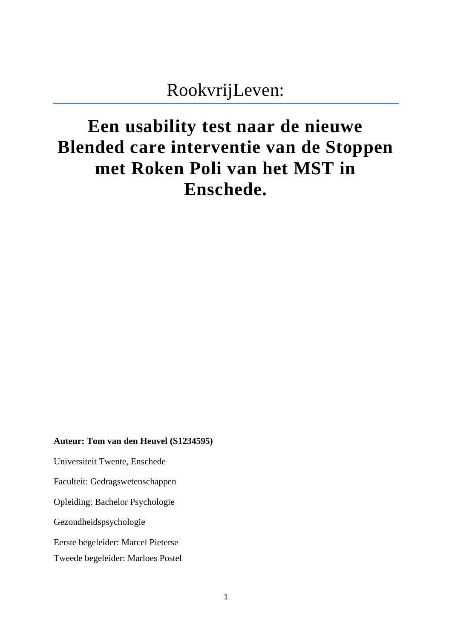# RookvrijLeven:

# **Een usability test naar de nieuwe Blended care interventie van de Stoppen met Roken Poli van het MST in Enschede.**

#### **Auteur: Tom van den Heuvel (S1234595)**

Universiteit Twente, Enschede

Faculteit: Gedragswetenschappen

Opleiding: Bachelor Psychologie

Gezondheidspsychologie

Eerste begeleider: Marcel Pieterse

Tweede begeleider: Marloes Postel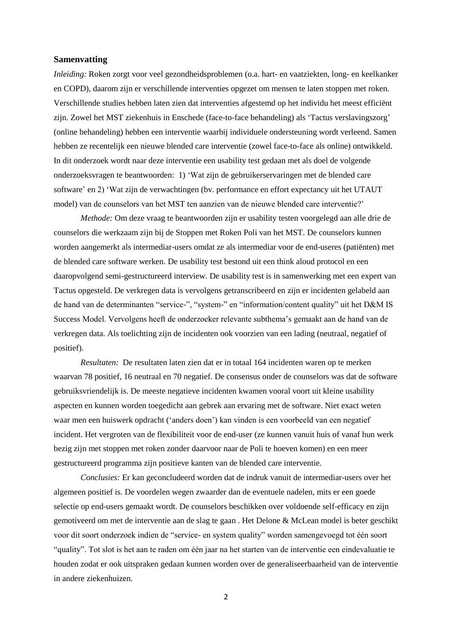#### **Samenvatting**

*Inleiding:* Roken zorgt voor veel gezondheidsproblemen (o.a. hart- en vaatziekten, long- en keelkanker en COPD), daarom zijn er verschillende interventies opgezet om mensen te laten stoppen met roken. Verschillende studies hebben laten zien dat interventies afgestemd op het individu het meest efficiënt zijn. Zowel het MST ziekenhuis in Enschede (face-to-face behandeling) als 'Tactus verslavingszorg' (online behandeling) hebben een interventie waarbij individuele ondersteuning wordt verleend. Samen hebben ze recentelijk een nieuwe blended care interventie (zowel face-to-face als online) ontwikkeld. In dit onderzoek wordt naar deze interventie een usability test gedaan met als doel de volgende onderzoeksvragen te beantwoorden: 1) 'Wat zijn de gebruikerservaringen met de blended care software' en 2) 'Wat zijn de verwachtingen (bv. performance en effort expectancy uit het UTAUT model) van de counselors van het MST ten aanzien van de nieuwe blended care interventie?'

*Methode:* Om deze vraag te beantwoorden zijn er usability testen voorgelegd aan alle drie de counselors die werkzaam zijn bij de Stoppen met Roken Poli van het MST. De counselors kunnen worden aangemerkt als intermediar-users omdat ze als intermediar voor de end-useres (patiënten) met de blended care software werken. De usability test bestond uit een think aloud protocol en een daaropvolgend semi-gestructureerd interview. De usability test is in samenwerking met een expert van Tactus opgesteld. De verkregen data is vervolgens getranscribeerd en zijn er incidenten gelabeld aan de hand van de determinanten "service-", "system-" en "information/content quality" uit het D&M IS Success Model. Vervolgens heeft de onderzoeker relevante subthema's gemaakt aan de hand van de verkregen data. Als toelichting zijn de incidenten ook voorzien van een lading (neutraal, negatief of positief).

*Resultaten:* De resultaten laten zien dat er in totaal 164 incidenten waren op te merken waarvan 78 positief, 16 neutraal en 70 negatief. De consensus onder de counselors was dat de software gebruiksvriendelijk is. De meeste negatieve incidenten kwamen vooral voort uit kleine usability aspecten en kunnen worden toegedicht aan gebrek aan ervaring met de software. Niet exact weten waar men een huiswerk opdracht ('anders doen') kan vinden is een voorbeeld van een negatief incident. Het vergroten van de flexibiliteit voor de end-user (ze kunnen vanuit huis of vanaf hun werk bezig zijn met stoppen met roken zonder daarvoor naar de Poli te hoeven komen) en een meer gestructureerd programma zijn positieve kanten van de blended care interventie.

*Conclusies:* Er kan geconcludeerd worden dat de indruk vanuit de intermediar-users over het algemeen positief is. De voordelen wegen zwaarder dan de eventuele nadelen, mits er een goede selectie op end-users gemaakt wordt. De counselors beschikken over voldoende self-efficacy en zijn gemotiveerd om met de interventie aan de slag te gaan . Het Delone & McLean model is beter geschikt voor dit soort onderzoek indien de "service- en system quality" worden samengevoegd tot één soort "quality". Tot slot is het aan te raden om één jaar na het starten van de interventie een eindevaluatie te houden zodat er ook uitspraken gedaan kunnen worden over de generaliseerbaarheid van de interventie in andere ziekenhuizen.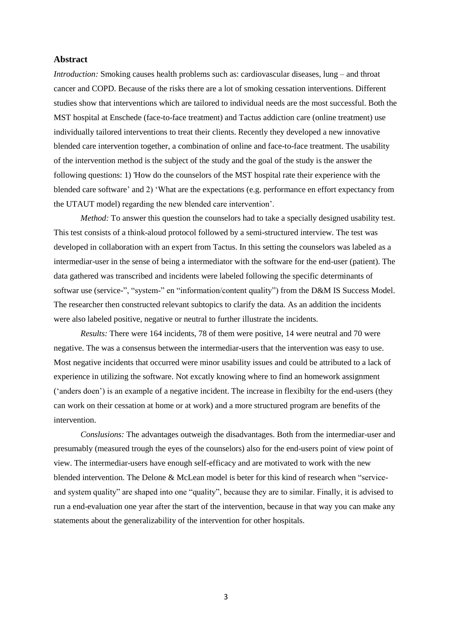#### **Abstract**

*Introduction:* Smoking causes health problems such as: cardiovascular diseases, lung – and throat cancer and COPD. Because of the risks there are a lot of smoking cessation interventions. Different studies show that interventions which are tailored to individual needs are the most successful. Both the MST hospital at Enschede (face-to-face treatment) and Tactus addiction care (online treatment) use individually tailored interventions to treat their clients. Recently they developed a new innovative blended care intervention together, a combination of online and face-to-face treatment. The usability of the intervention method is the subject of the study and the goal of the study is the answer the following questions: 1) 'How do the counselors of the MST hospital rate their experience with the blended care software' and 2) 'What are the expectations (e.g. performance en effort expectancy from the UTAUT model) regarding the new blended care intervention'.

*Method:* To answer this question the counselors had to take a specially designed usability test. This test consists of a think-aloud protocol followed by a semi-structured interview. The test was developed in collaboration with an expert from Tactus. In this setting the counselors was labeled as a intermediar-user in the sense of being a intermediator with the software for the end-user (patient). The data gathered was transcribed and incidents were labeled following the specific determinants of softwar use (service-", "system-" en "information/content quality") from the D&M IS Success Model. The researcher then constructed relevant subtopics to clarify the data. As an addition the incidents were also labeled positive, negative or neutral to further illustrate the incidents.

*Results:* There were 164 incidents, 78 of them were positive, 14 were neutral and 70 were negative. The was a consensus between the intermediar-users that the intervention was easy to use. Most negative incidents that occurred were minor usability issues and could be attributed to a lack of experience in utilizing the software. Not excatly knowing where to find an homework assignment ('anders doen') is an example of a negative incident. The increase in flexibilty for the end-users (they can work on their cessation at home or at work) and a more structured program are benefits of the intervention.

*Conslusions:* The advantages outweigh the disadvantages. Both from the intermediar-user and presumably (measured trough the eyes of the counselors) also for the end-users point of view point of view. The intermediar-users have enough self-efficacy and are motivated to work with the new blended intervention. The Delone & McLean model is beter for this kind of research when "serviceand system quality" are shaped into one "quality", because they are to similar. Finally, it is advised to run a end-evaluation one year after the start of the intervention, because in that way you can make any statements about the generalizability of the intervention for other hospitals.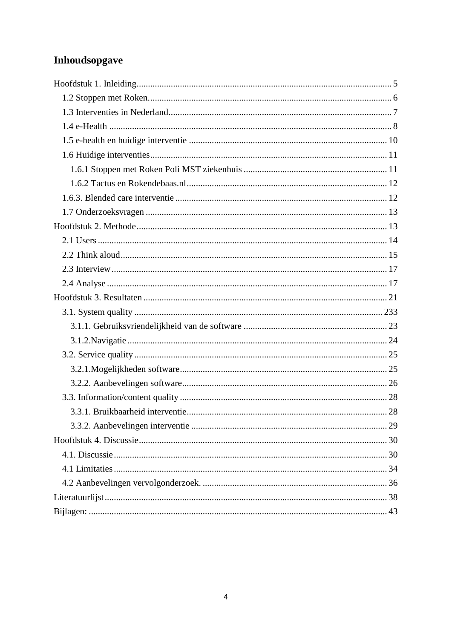# Inhoudsopgave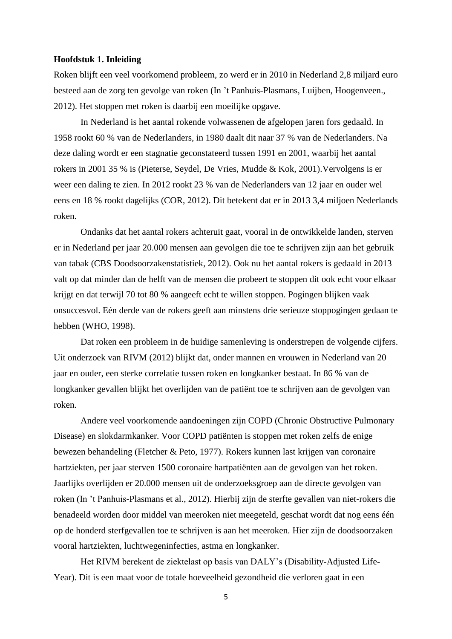#### <span id="page-4-0"></span>**Hoofdstuk 1. Inleiding**

Roken blijft een veel voorkomend probleem, zo werd er in 2010 in Nederland 2,8 miljard euro besteed aan de zorg ten gevolge van roken (In 't Panhuis-Plasmans, Luijben, Hoogenveen., 2012). Het stoppen met roken is daarbij een moeilijke opgave.

In Nederland is het aantal rokende volwassenen de afgelopen jaren fors gedaald. In 1958 rookt 60 % van de Nederlanders, in 1980 daalt dit naar 37 % van de Nederlanders. Na deze daling wordt er een stagnatie geconstateerd tussen 1991 en 2001, waarbij het aantal rokers in 2001 35 % is (Pieterse, Seydel, De Vries, Mudde & Kok, 2001).Vervolgens is er weer een daling te zien. In 2012 rookt 23 % van de Nederlanders van 12 jaar en ouder wel eens en 18 % rookt dagelijks (COR, 2012). Dit betekent dat er in 2013 3,4 miljoen Nederlands roken.

Ondanks dat het aantal rokers achteruit gaat, vooral in de ontwikkelde landen, sterven er in Nederland per jaar 20.000 mensen aan gevolgen die toe te schrijven zijn aan het gebruik van tabak (CBS Doodsoorzakenstatistiek, 2012). Ook nu het aantal rokers is gedaald in 2013 valt op dat minder dan de helft van de mensen die probeert te stoppen dit ook echt voor elkaar krijgt en dat terwijl 70 tot 80 % aangeeft echt te willen stoppen. Pogingen blijken vaak onsuccesvol. Eén derde van de rokers geeft aan minstens drie serieuze stoppogingen gedaan te hebben (WHO, 1998).

Dat roken een probleem in de huidige samenleving is onderstrepen de volgende cijfers. Uit onderzoek van RIVM (2012) blijkt dat, onder mannen en vrouwen in Nederland van 20 jaar en ouder, een sterke correlatie tussen roken en longkanker bestaat. In 86 % van de longkanker gevallen blijkt het overlijden van de patiënt toe te schrijven aan de gevolgen van roken.

Andere veel voorkomende aandoeningen zijn COPD (Chronic Obstructive Pulmonary Disease) en slokdarmkanker. Voor COPD patiënten is stoppen met roken zelfs de enige bewezen behandeling (Fletcher & Peto, 1977). Rokers kunnen last krijgen van coronaire hartziekten, per jaar sterven 1500 coronaire hartpatiënten aan de gevolgen van het roken. Jaarlijks overlijden er 20.000 mensen uit de onderzoeksgroep aan de directe gevolgen van roken (In 't Panhuis-Plasmans et al., 2012). Hierbij zijn de sterfte gevallen van niet-rokers die benadeeld worden door middel van meeroken niet meegeteld, geschat wordt dat nog eens één op de honderd sterfgevallen toe te schrijven is aan het meeroken. Hier zijn de doodsoorzaken vooral hartziekten, luchtwegeninfecties, astma en longkanker.

Het RIVM berekent de ziektelast op basis van DALY's (Disability-Adjusted Life-Year). Dit is een maat voor de totale hoeveelheid gezondheid die verloren gaat in een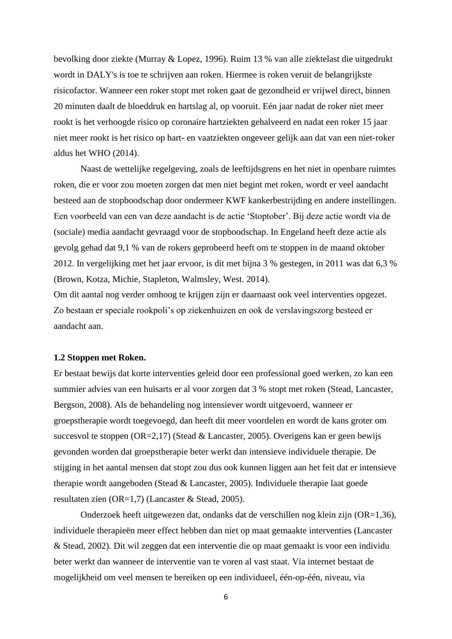bevolking door ziekte (Murray & Lopez, 1996). Ruim 13 % van alle ziektelast die uitgedrukt wordt in DALY's is toe te schrijven aan roken. Hiermee is roken veruit de belangrijkste risicofactor. Wanneer een roker stopt met roken gaat de gezondheid er vrijwel direct, binnen 20 minuten daalt de bloeddruk en hartslag al, op vooruit. Eén jaar nadat de roker niet meer rookt is het verhoogde risico op coronaire hartziekten gehalveerd en nadat een roker 15 jaar niet meer rookt is het risico op hart- en vaatziekten ongeveer gelijk aan dat van een niet-roker aldus het WHO (2014).

Naast de wettelijke regelgeving, zoals de leeftijdsgrens en het niet in openbare ruimtes roken, die er voor zou moeten zorgen dat men niet begint met roken, wordt er veel aandacht besteed aan de stopboodschap door ondermeer KWF kankerbestrijding en andere instellingen. Een voorbeeld van een van deze aandacht is de actie 'Stoptober'. Bij deze actie wordt via de (sociale) media aandacht gevraagd voor de stopboodschap. In Engeland heeft deze actie als gevolg gehad dat 9,1 % van de rokers geprobeerd heeft om te stoppen in de maand oktober 2012. In vergelijking met het jaar ervoor, is dit met bijna 3 % gestegen, in 2011 was dat 6,3 % (Brown, Kotza, Michie, Stapleton, Walmsley, West. 2014).

Om dit aantal nog verder omhoog te krijgen zijn er daarnaast ook veel interventies opgezet. Zo bestaan er speciale rookpoli's op ziekenhuizen en ook de verslavingszorg besteed er aandacht aan.

#### <span id="page-5-0"></span>**1.2 Stoppen met Roken.**

Er bestaat bewijs dat korte interventies geleid door een professional goed werken, zo kan een summier advies van een huisarts er al voor zorgen dat 3 % stopt met roken (Stead, Lancaster, Bergson, 2008). Als de behandeling nog intensiever wordt uitgevoerd, wanneer er groepstherapie wordt toegevoegd, dan heeft dit meer voordelen en wordt de kans groter om succesvol te stoppen (OR=2,17) (Stead & Lancaster, 2005). Overigens kan er geen bewijs gevonden worden dat groepstherapie beter werkt dan intensieve individuele therapie. De stijging in het aantal mensen dat stopt zou dus ook kunnen liggen aan het feit dat er intensieve therapie wordt aangeboden (Stead & Lancaster, 2005). Individuele therapie laat goede resultaten zien (OR=1,7) (Lancaster & Stead, 2005).

Onderzoek heeft uitgewezen dat, ondanks dat de verschillen nog klein zijn (OR=1,36), individuele therapieën meer effect hebben dan niet op maat gemaakte interventies (Lancaster & Stead, 2002). Dit wil zeggen dat een interventie die op maat gemaakt is voor een individu beter werkt dan wanneer de interventie van te voren al vast staat. Via internet bestaat de mogelijkheid om veel mensen te bereiken op een individueel, één-op-één, niveau, via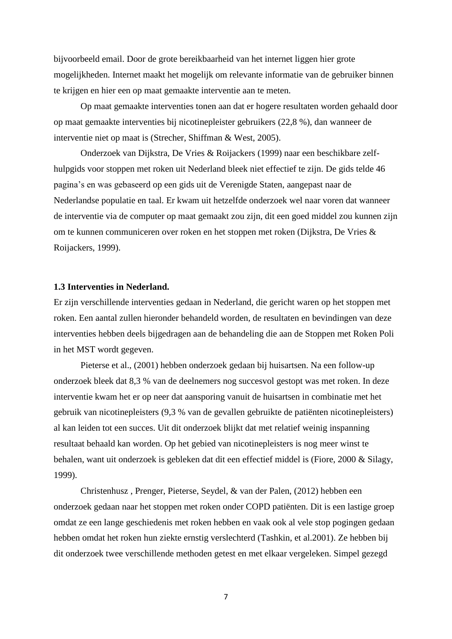bijvoorbeeld email. Door de grote bereikbaarheid van het internet liggen hier grote mogelijkheden. Internet maakt het mogelijk om relevante informatie van de gebruiker binnen te krijgen en hier een op maat gemaakte interventie aan te meten.

Op maat gemaakte interventies tonen aan dat er hogere resultaten worden gehaald door op maat gemaakte interventies bij nicotinepleister gebruikers (22,8 %), dan wanneer de interventie niet op maat is (Strecher, Shiffman & West, 2005).

Onderzoek van Dijkstra, De Vries & Roijackers (1999) naar een beschikbare zelfhulpgids voor stoppen met roken uit Nederland bleek niet effectief te zijn. De gids telde 46 pagina's en was gebaseerd op een gids uit de Verenigde Staten, aangepast naar de Nederlandse populatie en taal. Er kwam uit hetzelfde onderzoek wel naar voren dat wanneer de interventie via de computer op maat gemaakt zou zijn, dit een goed middel zou kunnen zijn om te kunnen communiceren over roken en het stoppen met roken (Dijkstra, De Vries & Roijackers, 1999).

#### <span id="page-6-0"></span>**1.3 Interventies in Nederland.**

Er zijn verschillende interventies gedaan in Nederland, die gericht waren op het stoppen met roken. Een aantal zullen hieronder behandeld worden, de resultaten en bevindingen van deze interventies hebben deels bijgedragen aan de behandeling die aan de Stoppen met Roken Poli in het MST wordt gegeven.

Pieterse et al., (2001) hebben onderzoek gedaan bij huisartsen. Na een follow-up onderzoek bleek dat 8,3 % van de deelnemers nog succesvol gestopt was met roken. In deze interventie kwam het er op neer dat aansporing vanuit de huisartsen in combinatie met het gebruik van nicotinepleisters (9,3 % van de gevallen gebruikte de patiënten nicotinepleisters) al kan leiden tot een succes. Uit dit onderzoek blijkt dat met relatief weinig inspanning resultaat behaald kan worden. Op het gebied van nicotinepleisters is nog meer winst te behalen, want uit onderzoek is gebleken dat dit een effectief middel is (Fiore, 2000 & Silagy, 1999).

Christenhusz , Prenger, Pieterse, Seydel, & van der Palen, (2012) hebben een onderzoek gedaan naar het stoppen met roken onder COPD patiënten. Dit is een lastige groep omdat ze een lange geschiedenis met roken hebben en vaak ook al vele stop pogingen gedaan hebben omdat het roken hun ziekte ernstig verslechterd (Tashkin, et al.2001). Ze hebben bij dit onderzoek twee verschillende methoden getest en met elkaar vergeleken. Simpel gezegd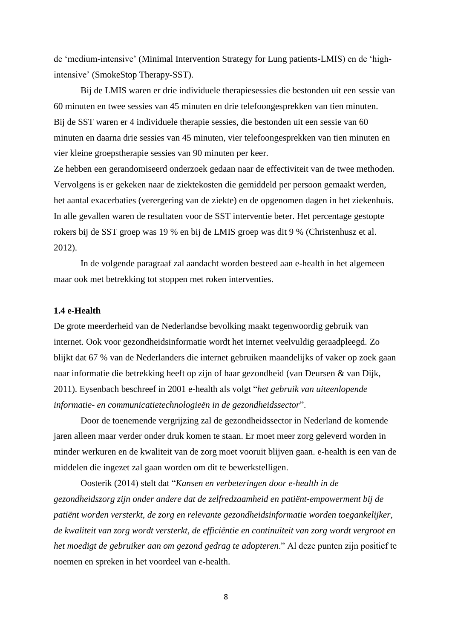de 'medium-intensive' (Minimal Intervention Strategy for Lung patients-LMIS) en de 'highintensive' (SmokeStop Therapy-SST).

Bij de LMIS waren er drie individuele therapiesessies die bestonden uit een sessie van 60 minuten en twee sessies van 45 minuten en drie telefoongesprekken van tien minuten. Bij de SST waren er 4 individuele therapie sessies, die bestonden uit een sessie van 60 minuten en daarna drie sessies van 45 minuten, vier telefoongesprekken van tien minuten en vier kleine groepstherapie sessies van 90 minuten per keer.

Ze hebben een gerandomiseerd onderzoek gedaan naar de effectiviteit van de twee methoden. Vervolgens is er gekeken naar de ziektekosten die gemiddeld per persoon gemaakt werden, het aantal exacerbaties (verergering van de ziekte) en de opgenomen dagen in het ziekenhuis. In alle gevallen waren de resultaten voor de SST interventie beter. Het percentage gestopte rokers bij de SST groep was 19 % en bij de LMIS groep was dit 9 % (Christenhusz et al. 2012).

In de volgende paragraaf zal aandacht worden besteed aan e-health in het algemeen maar ook met betrekking tot stoppen met roken interventies.

#### <span id="page-7-0"></span>**1.4 e-Health**

De grote meerderheid van de Nederlandse bevolking maakt tegenwoordig gebruik van internet. Ook voor gezondheidsinformatie wordt het internet veelvuldig geraadpleegd. Zo blijkt dat 67 % van de Nederlanders die internet gebruiken maandelijks of vaker op zoek gaan naar informatie die betrekking heeft op zijn of haar gezondheid (van Deursen & van Dijk, 2011). Eysenbach beschreef in 2001 e-health als volgt "*het gebruik van uiteenlopende informatie- en communicatietechnologieën in de gezondheidssector*".

Door de toenemende vergrijzing zal de gezondheidssector in Nederland de komende jaren alleen maar verder onder druk komen te staan. Er moet meer zorg geleverd worden in minder werkuren en de kwaliteit van de zorg moet vooruit blijven gaan. e-health is een van de middelen die ingezet zal gaan worden om dit te bewerkstelligen.

Oosterik (2014) stelt dat "*Kansen en verbeteringen door e-health in de gezondheidszorg zijn onder andere dat de zelfredzaamheid en patiënt-empowerment bij de patiënt worden versterkt, de zorg en relevante gezondheidsinformatie worden toegankelijker, de kwaliteit van zorg wordt versterkt, de efficiëntie en continuïteit van zorg wordt vergroot en het moedigt de gebruiker aan om gezond gedrag te adopteren*." Al deze punten zijn positief te noemen en spreken in het voordeel van e-health.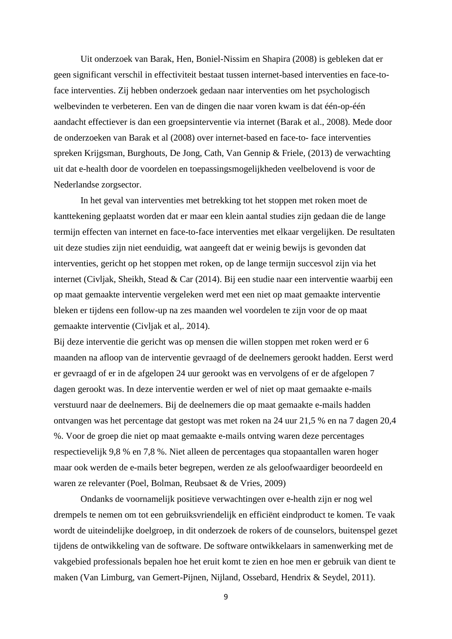Uit onderzoek van Barak, Hen, Boniel-Nissim en Shapira (2008) is gebleken dat er geen significant verschil in effectiviteit bestaat tussen internet-based interventies en face-toface interventies. Zij hebben onderzoek gedaan naar interventies om het psychologisch welbevinden te verbeteren. Een van de dingen die naar voren kwam is dat één-op-één aandacht effectiever is dan een groepsinterventie via internet (Barak et al., 2008). Mede door de onderzoeken van Barak et al (2008) over internet-based en face-to- face interventies spreken Krijgsman, Burghouts, De Jong, Cath, Van Gennip & Friele, (2013) de verwachting uit dat e-health door de voordelen en toepassingsmogelijkheden veelbelovend is voor de Nederlandse zorgsector.

In het geval van interventies met betrekking tot het stoppen met roken moet de kanttekening geplaatst worden dat er maar een klein aantal studies zijn gedaan die de lange termijn effecten van internet en face-to-face interventies met elkaar vergelijken. De resultaten uit deze studies zijn niet eenduidig, wat aangeeft dat er weinig bewijs is gevonden dat interventies, gericht op het stoppen met roken, op de lange termijn succesvol zijn via het internet (Civljak, Sheikh, Stead & Car (2014). Bij een studie naar een interventie waarbij een op maat gemaakte interventie vergeleken werd met een niet op maat gemaakte interventie bleken er tijdens een follow-up na zes maanden wel voordelen te zijn voor de op maat gemaakte interventie (Civljak et al,. 2014).

Bij deze interventie die gericht was op mensen die willen stoppen met roken werd er 6 maanden na afloop van de interventie gevraagd of de deelnemers gerookt hadden. Eerst werd er gevraagd of er in de afgelopen 24 uur gerookt was en vervolgens of er de afgelopen 7 dagen gerookt was. In deze interventie werden er wel of niet op maat gemaakte e-mails verstuurd naar de deelnemers. Bij de deelnemers die op maat gemaakte e-mails hadden ontvangen was het percentage dat gestopt was met roken na 24 uur 21,5 % en na 7 dagen 20,4 %. Voor de groep die niet op maat gemaakte e-mails ontving waren deze percentages respectievelijk 9,8 % en 7,8 %. Niet alleen de percentages qua stopaantallen waren hoger maar ook werden de e-mails beter begrepen, werden ze als geloofwaardiger beoordeeld en waren ze relevanter (Poel, Bolman, Reubsaet & de Vries, 2009)

Ondanks de voornamelijk positieve verwachtingen over e-health zijn er nog wel drempels te nemen om tot een gebruiksvriendelijk en efficiënt eindproduct te komen. Te vaak wordt de uiteindelijke doelgroep, in dit onderzoek de rokers of de counselors, buitenspel gezet tijdens de ontwikkeling van de software. De software ontwikkelaars in samenwerking met de vakgebied professionals bepalen hoe het eruit komt te zien en hoe men er gebruik van dient te maken (Van Limburg, van Gemert-Pijnen, Nijland, Ossebard, Hendrix & Seydel, 2011).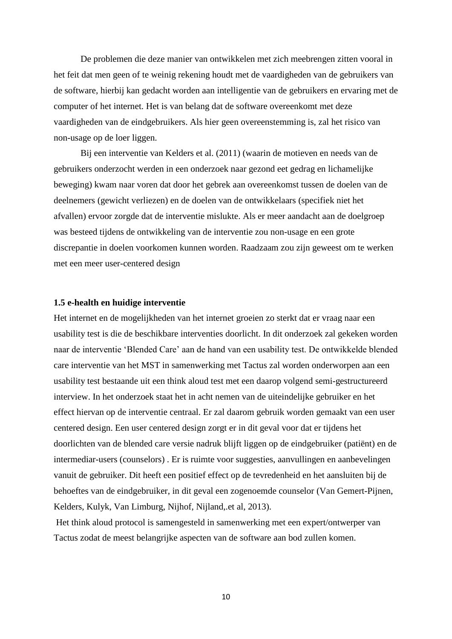De problemen die deze manier van ontwikkelen met zich meebrengen zitten vooral in het feit dat men geen of te weinig rekening houdt met de vaardigheden van de gebruikers van de software, hierbij kan gedacht worden aan intelligentie van de gebruikers en ervaring met de computer of het internet. Het is van belang dat de software overeenkomt met deze vaardigheden van de eindgebruikers. Als hier geen overeenstemming is, zal het risico van non-usage op de loer liggen.

Bij een interventie van Kelders et al. (2011) (waarin de motieven en needs van de gebruikers onderzocht werden in een onderzoek naar gezond eet gedrag en lichamelijke beweging) kwam naar voren dat door het gebrek aan overeenkomst tussen de doelen van de deelnemers (gewicht verliezen) en de doelen van de ontwikkelaars (specifiek niet het afvallen) ervoor zorgde dat de interventie mislukte. Als er meer aandacht aan de doelgroep was besteed tijdens de ontwikkeling van de interventie zou non-usage en een grote discrepantie in doelen voorkomen kunnen worden. Raadzaam zou zijn geweest om te werken met een meer user-centered design

#### <span id="page-9-0"></span>**1.5 e-health en huidige interventie**

Het internet en de mogelijkheden van het internet groeien zo sterkt dat er vraag naar een usability test is die de beschikbare interventies doorlicht. In dit onderzoek zal gekeken worden naar de interventie 'Blended Care' aan de hand van een usability test. De ontwikkelde blended care interventie van het MST in samenwerking met Tactus zal worden onderworpen aan een usability test bestaande uit een think aloud test met een daarop volgend semi-gestructureerd interview. In het onderzoek staat het in acht nemen van de uiteindelijke gebruiker en het effect hiervan op de interventie centraal. Er zal daarom gebruik worden gemaakt van een user centered design. Een user centered design zorgt er in dit geval voor dat er tijdens het doorlichten van de blended care versie nadruk blijft liggen op de eindgebruiker (patiënt) en de intermediar-users (counselors) . Er is ruimte voor suggesties, aanvullingen en aanbevelingen vanuit de gebruiker. Dit heeft een positief effect op de tevredenheid en het aansluiten bij de behoeftes van de eindgebruiker, in dit geval een zogenoemde counselor (Van Gemert-Pijnen, Kelders, Kulyk, Van Limburg, Nijhof, Nijland,.et al, 2013).

Het think aloud protocol is samengesteld in samenwerking met een expert/ontwerper van Tactus zodat de meest belangrijke aspecten van de software aan bod zullen komen.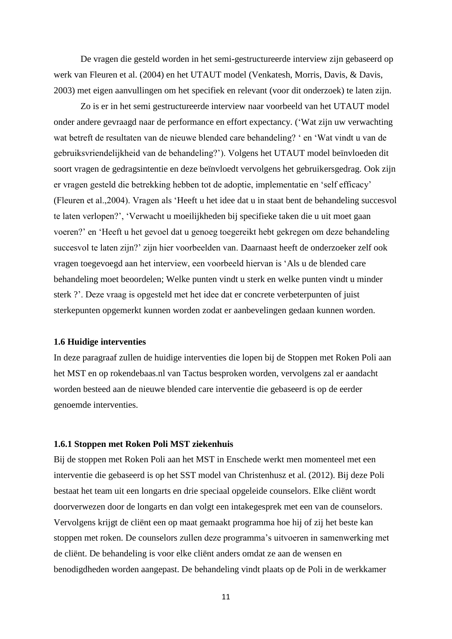De vragen die gesteld worden in het semi-gestructureerde interview zijn gebaseerd op werk van Fleuren et al. (2004) en het UTAUT model (Venkatesh, Morris, Davis, & Davis, 2003) met eigen aanvullingen om het specifiek en relevant (voor dit onderzoek) te laten zijn.

Zo is er in het semi gestructureerde interview naar voorbeeld van het UTAUT model onder andere gevraagd naar de performance en effort expectancy. ('Wat zijn uw verwachting wat betreft de resultaten van de nieuwe blended care behandeling? ' en 'Wat vindt u van de gebruiksvriendelijkheid van de behandeling?'). Volgens het UTAUT model beïnvloeden dit soort vragen de gedragsintentie en deze beïnvloedt vervolgens het gebruikersgedrag. Ook zijn er vragen gesteld die betrekking hebben tot de adoptie, implementatie en 'self efficacy' (Fleuren et al.,2004). Vragen als 'Heeft u het idee dat u in staat bent de behandeling succesvol te laten verlopen?', 'Verwacht u moeilijkheden bij specifieke taken die u uit moet gaan voeren?' en 'Heeft u het gevoel dat u genoeg toegereikt hebt gekregen om deze behandeling succesvol te laten zijn?' zijn hier voorbeelden van. Daarnaast heeft de onderzoeker zelf ook vragen toegevoegd aan het interview, een voorbeeld hiervan is 'Als u de blended care behandeling moet beoordelen; Welke punten vindt u sterk en welke punten vindt u minder sterk ?'. Deze vraag is opgesteld met het idee dat er concrete verbeterpunten of juist sterkepunten opgemerkt kunnen worden zodat er aanbevelingen gedaan kunnen worden.

#### <span id="page-10-0"></span>**1.6 Huidige interventies**

In deze paragraaf zullen de huidige interventies die lopen bij de Stoppen met Roken Poli aan het MST en op rokendebaas.nl van Tactus besproken worden, vervolgens zal er aandacht worden besteed aan de nieuwe blended care interventie die gebaseerd is op de eerder genoemde interventies.

#### <span id="page-10-1"></span>**1.6.1 Stoppen met Roken Poli MST ziekenhuis**

Bij de stoppen met Roken Poli aan het MST in Enschede werkt men momenteel met een interventie die gebaseerd is op het SST model van Christenhusz et al. (2012). Bij deze Poli bestaat het team uit een longarts en drie speciaal opgeleide counselors. Elke cliënt wordt doorverwezen door de longarts en dan volgt een intakegesprek met een van de counselors. Vervolgens krijgt de cliënt een op maat gemaakt programma hoe hij of zij het beste kan stoppen met roken. De counselors zullen deze programma's uitvoeren in samenwerking met de cliënt. De behandeling is voor elke cliënt anders omdat ze aan de wensen en benodigdheden worden aangepast. De behandeling vindt plaats op de Poli in de werkkamer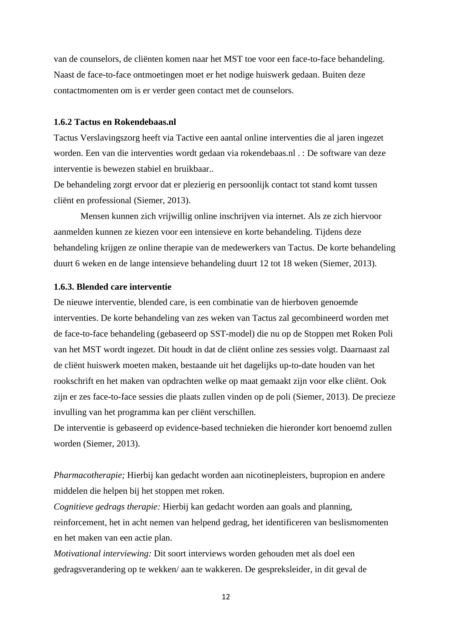van de counselors, de cliënten komen naar het MST toe voor een face-to-face behandeling. Naast de face-to-face ontmoetingen moet er het nodige huiswerk gedaan. Buiten deze contactmomenten om is er verder geen contact met de counselors.

#### <span id="page-11-0"></span>**1.6.2 Tactus en Rokendebaas.nl**

Tactus Verslavingszorg heeft via Tactive een aantal online interventies die al jaren ingezet worden. Een van die interventies wordt gedaan via rokendebaas.nl . : De software van deze interventie is bewezen stabiel en bruikbaar..

De behandeling zorgt ervoor dat er plezierig en persoonlijk contact tot stand komt tussen cliënt en professional (Siemer, 2013).

Mensen kunnen zich vrijwillig online inschrijven via internet. Als ze zich hiervoor aanmelden kunnen ze kiezen voor een intensieve en korte behandeling. Tijdens deze behandeling krijgen ze online therapie van de medewerkers van Tactus. De korte behandeling duurt 6 weken en de lange intensieve behandeling duurt 12 tot 18 weken (Siemer, 2013).

#### <span id="page-11-1"></span>**1.6.3. Blended care interventie**

De nieuwe interventie, blended care, is een combinatie van de hierboven genoemde interventies. De korte behandeling van zes weken van Tactus zal gecombineerd worden met de face-to-face behandeling (gebaseerd op SST-model) die nu op de Stoppen met Roken Poli van het MST wordt ingezet. Dit houdt in dat de cliënt online zes sessies volgt. Daarnaast zal de cliënt huiswerk moeten maken, bestaande uit het dagelijks up-to-date houden van het rookschrift en het maken van opdrachten welke op maat gemaakt zijn voor elke cliënt. Ook zijn er zes face-to-face sessies die plaats zullen vinden op de poli (Siemer, 2013). De precieze invulling van het programma kan per cliënt verschillen.

De interventie is gebaseerd op evidence-based technieken die hieronder kort benoemd zullen worden (Siemer, 2013).

*Pharmacotherapie;* Hierbij kan gedacht worden aan nicotinepleisters, bupropion en andere middelen die helpen bij het stoppen met roken.

*Cognitieve gedrags therapie:* Hierbij kan gedacht worden aan goals and planning, reinforcement, het in acht nemen van helpend gedrag, het identificeren van beslismomenten en het maken van een actie plan.

*Motivational interviewing:* Dit soort interviews worden gehouden met als doel een gedragsverandering op te wekken/ aan te wakkeren. De gespreksleider, in dit geval de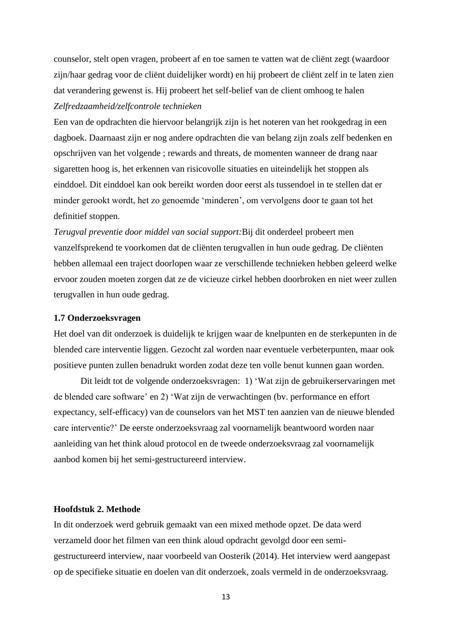counselor, stelt open vragen, probeert af en toe samen te vatten wat de cliënt zegt (waardoor zijn/haar gedrag voor de cliënt duidelijker wordt) en hij probeert de cliënt zelf in te laten zien dat verandering gewenst is. Hij probeert het self-belief van de client omhoog te halen *Zelfredzaamheid/zelfcontrole technieken*

Een van de opdrachten die hiervoor belangrijk zijn is het noteren van het rookgedrag in een dagboek. Daarnaast zijn er nog andere opdrachten die van belang zijn zoals zelf bedenken en opschrijven van het volgende ; rewards and threats, de momenten wanneer de drang naar sigaretten hoog is, het erkennen van risicovolle situaties en uiteindelijk het stoppen als einddoel. Dit einddoel kan ook bereikt worden door eerst als tussendoel in te stellen dat er minder gerookt wordt, het zo genoemde 'minderen', om vervolgens door te gaan tot het definitief stoppen.

*Terugval preventie door middel van social support:*Bij dit onderdeel probeert men vanzelfsprekend te voorkomen dat de cliënten terugvallen in hun oude gedrag. De cliënten hebben allemaal een traject doorlopen waar ze verschillende technieken hebben geleerd welke ervoor zouden moeten zorgen dat ze de vicieuze cirkel hebben doorbroken en niet weer zullen terugvallen in hun oude gedrag.

#### <span id="page-12-0"></span>**1.7 Onderzoeksvragen**

Het doel van dit onderzoek is duidelijk te krijgen waar de knelpunten en de sterkepunten in de blended care interventie liggen. Gezocht zal worden naar eventuele verbeterpunten, maar ook positieve punten zullen benadrukt worden zodat deze ten volle benut kunnen gaan worden.

Dit leidt tot de volgende onderzoeksvragen: 1) 'Wat zijn de gebruikerservaringen met de blended care software' en 2) 'Wat zijn de verwachtingen (bv. performance en effort expectancy, self-efficacy) van de counselors van het MST ten aanzien van de nieuwe blended care interventie?' De eerste onderzoeksvraag zal voornamelijk beantwoord worden naar aanleiding van het think aloud protocol en de tweede onderzoeksvraag zal voornamelijk aanbod komen bij het semi-gestructureerd interview.

#### <span id="page-12-1"></span>**Hoofdstuk 2. Methode**

In dit onderzoek werd gebruik gemaakt van een mixed methode opzet. De data werd verzameld door het filmen van een think aloud opdracht gevolgd door een semigestructureerd interview, naar voorbeeld van Oosterik (2014). Het interview werd aangepast op de specifieke situatie en doelen van dit onderzoek, zoals vermeld in de onderzoeksvraag.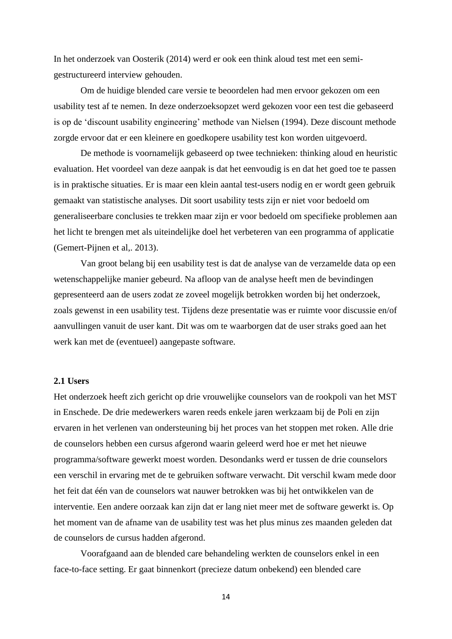In het onderzoek van Oosterik (2014) werd er ook een think aloud test met een semigestructureerd interview gehouden.

Om de huidige blended care versie te beoordelen had men ervoor gekozen om een usability test af te nemen. In deze onderzoeksopzet werd gekozen voor een test die gebaseerd is op de 'discount usability engineering' methode van Nielsen (1994). Deze discount methode zorgde ervoor dat er een kleinere en goedkopere usability test kon worden uitgevoerd.

De methode is voornamelijk gebaseerd op twee technieken: thinking aloud en heuristic evaluation. Het voordeel van deze aanpak is dat het eenvoudig is en dat het goed toe te passen is in praktische situaties. Er is maar een klein aantal test-users nodig en er wordt geen gebruik gemaakt van statistische analyses. Dit soort usability tests zijn er niet voor bedoeld om generaliseerbare conclusies te trekken maar zijn er voor bedoeld om specifieke problemen aan het licht te brengen met als uiteindelijke doel het verbeteren van een programma of applicatie (Gemert-Pijnen et al,. 2013).

Van groot belang bij een usability test is dat de analyse van de verzamelde data op een wetenschappelijke manier gebeurd. Na afloop van de analyse heeft men de bevindingen gepresenteerd aan de users zodat ze zoveel mogelijk betrokken worden bij het onderzoek, zoals gewenst in een usability test. Tijdens deze presentatie was er ruimte voor discussie en/of aanvullingen vanuit de user kant. Dit was om te waarborgen dat de user straks goed aan het werk kan met de (eventueel) aangepaste software.

#### <span id="page-13-0"></span>**2.1 Users**

Het onderzoek heeft zich gericht op drie vrouwelijke counselors van de rookpoli van het MST in Enschede. De drie medewerkers waren reeds enkele jaren werkzaam bij de Poli en zijn ervaren in het verlenen van ondersteuning bij het proces van het stoppen met roken. Alle drie de counselors hebben een cursus afgerond waarin geleerd werd hoe er met het nieuwe programma/software gewerkt moest worden. Desondanks werd er tussen de drie counselors een verschil in ervaring met de te gebruiken software verwacht. Dit verschil kwam mede door het feit dat één van de counselors wat nauwer betrokken was bij het ontwikkelen van de interventie. Een andere oorzaak kan zijn dat er lang niet meer met de software gewerkt is. Op het moment van de afname van de usability test was het plus minus zes maanden geleden dat de counselors de cursus hadden afgerond.

Voorafgaand aan de blended care behandeling werkten de counselors enkel in een face-to-face setting. Er gaat binnenkort (precieze datum onbekend) een blended care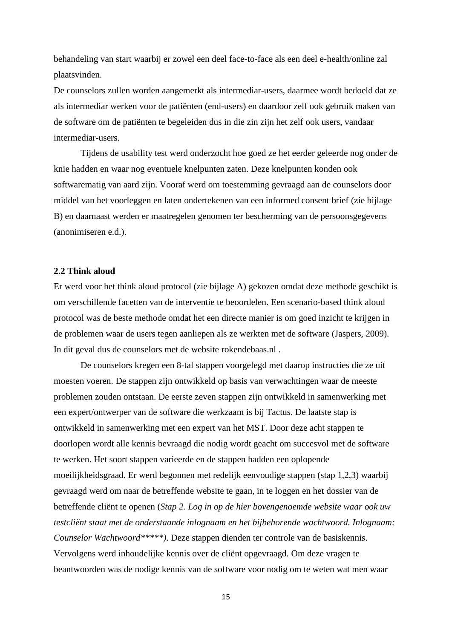behandeling van start waarbij er zowel een deel face-to-face als een deel e-health/online zal plaatsvinden.

De counselors zullen worden aangemerkt als intermediar-users, daarmee wordt bedoeld dat ze als intermediar werken voor de patiënten (end-users) en daardoor zelf ook gebruik maken van de software om de patiënten te begeleiden dus in die zin zijn het zelf ook users, vandaar intermediar-users.

Tijdens de usability test werd onderzocht hoe goed ze het eerder geleerde nog onder de knie hadden en waar nog eventuele knelpunten zaten. Deze knelpunten konden ook softwarematig van aard zijn. Vooraf werd om toestemming gevraagd aan de counselors door middel van het voorleggen en laten ondertekenen van een informed consent brief (zie bijlage B) en daarnaast werden er maatregelen genomen ter bescherming van de persoonsgegevens (anonimiseren e.d.).

#### <span id="page-14-0"></span>**2.2 Think aloud**

Er werd voor het think aloud protocol (zie bijlage A) gekozen omdat deze methode geschikt is om verschillende facetten van de interventie te beoordelen. Een scenario-based think aloud protocol was de beste methode omdat het een directe manier is om goed inzicht te krijgen in de problemen waar de users tegen aanliepen als ze werkten met de software (Jaspers, 2009). In dit geval dus de counselors met de website rokendebaas.nl .

De counselors kregen een 8-tal stappen voorgelegd met daarop instructies die ze uit moesten voeren. De stappen zijn ontwikkeld op basis van verwachtingen waar de meeste problemen zouden ontstaan. De eerste zeven stappen zijn ontwikkeld in samenwerking met een expert/ontwerper van de software die werkzaam is bij Tactus. De laatste stap is ontwikkeld in samenwerking met een expert van het MST. Door deze acht stappen te doorlopen wordt alle kennis bevraagd die nodig wordt geacht om succesvol met de software te werken. Het soort stappen varieerde en de stappen hadden een oplopende moeilijkheidsgraad. Er werd begonnen met redelijk eenvoudige stappen (stap 1,2,3) waarbij gevraagd werd om naar de betreffende website te gaan, in te loggen en het dossier van de betreffende cliënt te openen (*Stap 2. Log in op de hier bovengenoemde website waar ook uw testcliënt staat met de onderstaande inlognaam en het bijbehorende wachtwoord. Inlognaam: Counselor Wachtwoord\*\*\*\*\*)*. Deze stappen dienden ter controle van de basiskennis. Vervolgens werd inhoudelijke kennis over de cliënt opgevraagd. Om deze vragen te beantwoorden was de nodige kennis van de software voor nodig om te weten wat men waar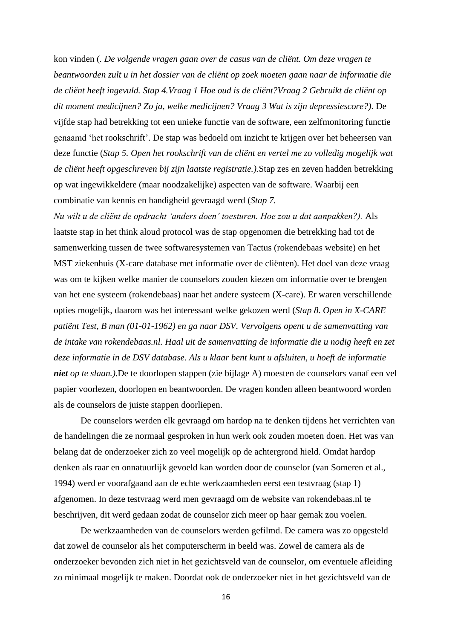kon vinden (*. De volgende vragen gaan over de casus van de cliënt. Om deze vragen te beantwoorden zult u in het dossier van de cliënt op zoek moeten gaan naar de informatie die de cliënt heeft ingevuld. Stap 4.Vraag 1 Hoe oud is de cliënt?Vraag 2 Gebruikt de cliënt op dit moment medicijnen? Zo ja, welke medicijnen? Vraag 3 Wat is zijn depressiescore?)*. De vijfde stap had betrekking tot een unieke functie van de software, een zelfmonitoring functie genaamd 'het rookschrift'. De stap was bedoeld om inzicht te krijgen over het beheersen van deze functie (*Stap 5. Open het rookschrift van de cliënt en vertel me zo volledig mogelijk wat de cliënt heeft opgeschreven bij zijn laatste registratie.).*Stap zes en zeven hadden betrekking op wat ingewikkeldere (maar noodzakelijke) aspecten van de software. Waarbij een combinatie van kennis en handigheid gevraagd werd (*Stap 7.*

*Nu wilt u de cliënt de opdracht 'anders doen' toesturen. Hoe zou u dat aanpakken?).* Als laatste stap in het think aloud protocol was de stap opgenomen die betrekking had tot de samenwerking tussen de twee softwaresystemen van Tactus (rokendebaas website) en het MST ziekenhuis (X-care database met informatie over de cliënten). Het doel van deze vraag was om te kijken welke manier de counselors zouden kiezen om informatie over te brengen van het ene systeem (rokendebaas) naar het andere systeem (X-care). Er waren verschillende opties mogelijk, daarom was het interessant welke gekozen werd (*Stap 8. Open in X-CARE patiënt Test, B man (01-01-1962) en ga naar DSV. Vervolgens opent u de samenvatting van de intake van rokendebaas.nl. Haal uit de samenvatting de informatie die u nodig heeft en zet deze informatie in de DSV database. Als u klaar bent kunt u afsluiten, u hoeft de informatie niet op te slaan.)*.De te doorlopen stappen (zie bijlage A) moesten de counselors vanaf een vel papier voorlezen, doorlopen en beantwoorden. De vragen konden alleen beantwoord worden als de counselors de juiste stappen doorliepen.

De counselors werden elk gevraagd om hardop na te denken tijdens het verrichten van de handelingen die ze normaal gesproken in hun werk ook zouden moeten doen. Het was van belang dat de onderzoeker zich zo veel mogelijk op de achtergrond hield. Omdat hardop denken als raar en onnatuurlijk gevoeld kan worden door de counselor (van Someren et al., 1994) werd er voorafgaand aan de echte werkzaamheden eerst een testvraag (stap 1) afgenomen. In deze testvraag werd men gevraagd om de website van rokendebaas.nl te beschrijven, dit werd gedaan zodat de counselor zich meer op haar gemak zou voelen.

De werkzaamheden van de counselors werden gefilmd. De camera was zo opgesteld dat zowel de counselor als het computerscherm in beeld was. Zowel de camera als de onderzoeker bevonden zich niet in het gezichtsveld van de counselor, om eventuele afleiding zo minimaal mogelijk te maken. Doordat ook de onderzoeker niet in het gezichtsveld van de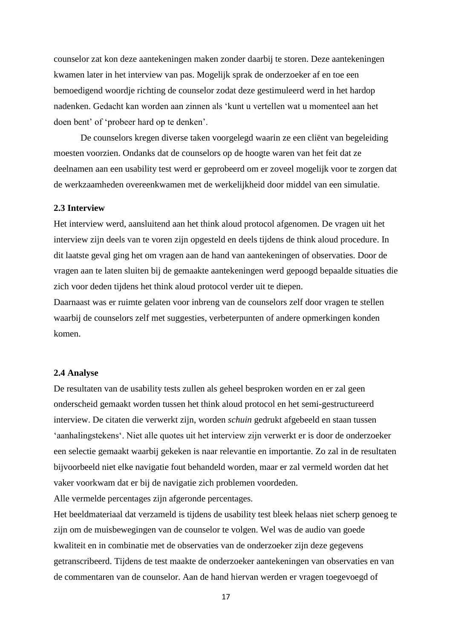counselor zat kon deze aantekeningen maken zonder daarbij te storen. Deze aantekeningen kwamen later in het interview van pas. Mogelijk sprak de onderzoeker af en toe een bemoedigend woordje richting de counselor zodat deze gestimuleerd werd in het hardop nadenken. Gedacht kan worden aan zinnen als 'kunt u vertellen wat u momenteel aan het doen bent' of 'probeer hard op te denken'.

De counselors kregen diverse taken voorgelegd waarin ze een cliënt van begeleiding moesten voorzien. Ondanks dat de counselors op de hoogte waren van het feit dat ze deelnamen aan een usability test werd er geprobeerd om er zoveel mogelijk voor te zorgen dat de werkzaamheden overeenkwamen met de werkelijkheid door middel van een simulatie.

#### <span id="page-16-0"></span>**2.3 Interview**

Het interview werd, aansluitend aan het think aloud protocol afgenomen. De vragen uit het interview zijn deels van te voren zijn opgesteld en deels tijdens de think aloud procedure. In dit laatste geval ging het om vragen aan de hand van aantekeningen of observaties. Door de vragen aan te laten sluiten bij de gemaakte aantekeningen werd gepoogd bepaalde situaties die zich voor deden tijdens het think aloud protocol verder uit te diepen.

Daarnaast was er ruimte gelaten voor inbreng van de counselors zelf door vragen te stellen waarbij de counselors zelf met suggesties, verbeterpunten of andere opmerkingen konden komen.

#### <span id="page-16-1"></span>**2.4 Analyse**

De resultaten van de usability tests zullen als geheel besproken worden en er zal geen onderscheid gemaakt worden tussen het think aloud protocol en het semi-gestructureerd interview. De citaten die verwerkt zijn, worden *schuin* gedrukt afgebeeld en staan tussen 'aanhalingstekens'. Niet alle quotes uit het interview zijn verwerkt er is door de onderzoeker een selectie gemaakt waarbij gekeken is naar relevantie en importantie. Zo zal in de resultaten bijvoorbeeld niet elke navigatie fout behandeld worden, maar er zal vermeld worden dat het vaker voorkwam dat er bij de navigatie zich problemen voordeden.

Alle vermelde percentages zijn afgeronde percentages.

Het beeldmateriaal dat verzameld is tijdens de usability test bleek helaas niet scherp genoeg te zijn om de muisbewegingen van de counselor te volgen. Wel was de audio van goede kwaliteit en in combinatie met de observaties van de onderzoeker zijn deze gegevens getranscribeerd. Tijdens de test maakte de onderzoeker aantekeningen van observaties en van de commentaren van de counselor. Aan de hand hiervan werden er vragen toegevoegd of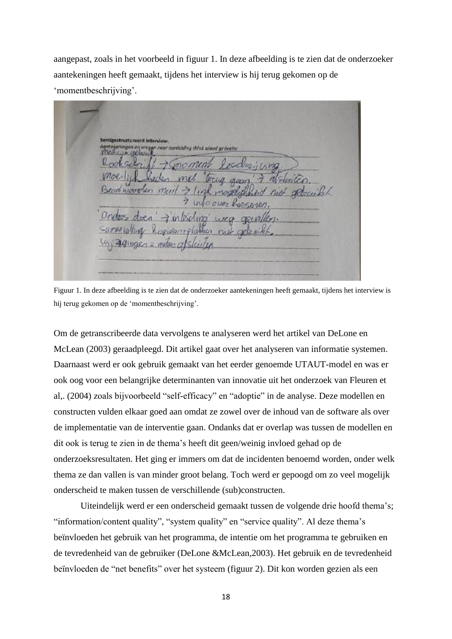aangepast, zoals in het voorbeeld in figuur 1. In deze afbeelding is te zien dat de onderzoeker aantekeningen heeft gemaakt, tijdens het interview is hij terug gekomen op de 'momentbeschrijving'.

tructureerd Interview dina think aloud arder?  $adinae<sub>0</sub> =$ 

Figuur 1. In deze afbeelding is te zien dat de onderzoeker aantekeningen heeft gemaakt, tijdens het interview is hij terug gekomen op de 'momentbeschrijving'.

Om de getranscribeerde data vervolgens te analyseren werd het artikel van DeLone en McLean (2003) geraadpleegd. Dit artikel gaat over het analyseren van informatie systemen. Daarnaast werd er ook gebruik gemaakt van het eerder genoemde UTAUT-model en was er ook oog voor een belangrijke determinanten van innovatie uit het onderzoek van Fleuren et al,. (2004) zoals bijvoorbeeld "self-efficacy" en "adoptie" in de analyse. Deze modellen en constructen vulden elkaar goed aan omdat ze zowel over de inhoud van de software als over de implementatie van de interventie gaan. Ondanks dat er overlap was tussen de modellen en dit ook is terug te zien in de thema's heeft dit geen/weinig invloed gehad op de onderzoeksresultaten. Het ging er immers om dat de incidenten benoemd worden, onder welk thema ze dan vallen is van minder groot belang. Toch werd er gepoogd om zo veel mogelijk onderscheid te maken tussen de verschillende (sub)constructen.

Uiteindelijk werd er een onderscheid gemaakt tussen de volgende drie hoofd thema's; "information/content quality", "system quality" en "service quality". Al deze thema's beïnvloeden het gebruik van het programma, de intentie om het programma te gebruiken en de tevredenheid van de gebruiker (DeLone &McLean,2003). Het gebruik en de tevredenheid beïnvloeden de "net benefits" over het systeem (figuur 2). Dit kon worden gezien als een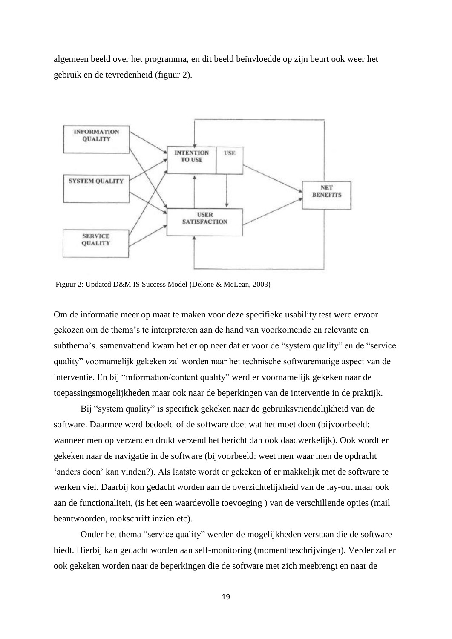algemeen beeld over het programma, en dit beeld beïnvloedde op zijn beurt ook weer het gebruik en de tevredenheid (figuur 2).



Figuur 2: Updated D&M IS Success Model (Delone & McLean, 2003)

Om de informatie meer op maat te maken voor deze specifieke usability test werd ervoor gekozen om de thema's te interpreteren aan de hand van voorkomende en relevante en subthema's. samenvattend kwam het er op neer dat er voor de "system quality" en de "service quality" voornamelijk gekeken zal worden naar het technische softwarematige aspect van de interventie. En bij "information/content quality" werd er voornamelijk gekeken naar de toepassingsmogelijkheden maar ook naar de beperkingen van de interventie in de praktijk.

Bij "system quality" is specifiek gekeken naar de gebruiksvriendelijkheid van de software. Daarmee werd bedoeld of de software doet wat het moet doen (bijvoorbeeld: wanneer men op verzenden drukt verzend het bericht dan ook daadwerkelijk). Ook wordt er gekeken naar de navigatie in de software (bijvoorbeeld: weet men waar men de opdracht 'anders doen' kan vinden?). Als laatste wordt er gekeken of er makkelijk met de software te werken viel. Daarbij kon gedacht worden aan de overzichtelijkheid van de lay-out maar ook aan de functionaliteit, (is het een waardevolle toevoeging ) van de verschillende opties (mail beantwoorden, rookschrift inzien etc).

Onder het thema "service quality" werden de mogelijkheden verstaan die de software biedt. Hierbij kan gedacht worden aan self-monitoring (momentbeschrijvingen). Verder zal er ook gekeken worden naar de beperkingen die de software met zich meebrengt en naar de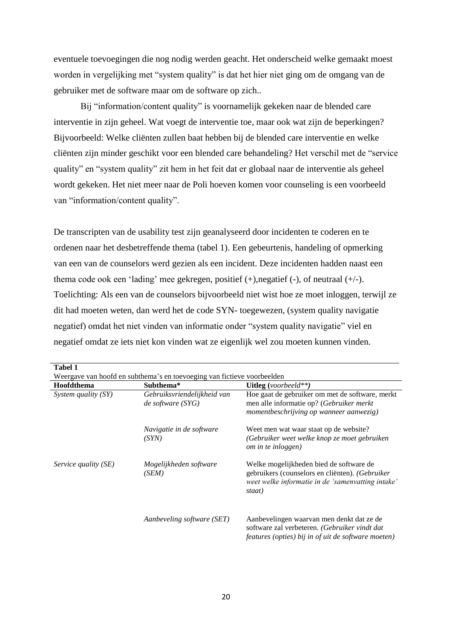eventuele toevoegingen die nog nodig werden geacht. Het onderscheid welke gemaakt moest worden in vergelijking met "system quality" is dat het hier niet ging om de omgang van de gebruiker met de software maar om de software op zich..

Bij "information/content quality" is voornamelijk gekeken naar de blended care interventie in zijn geheel. Wat voegt de interventie toe, maar ook wat zijn de beperkingen? Bijvoorbeeld: Welke cliënten zullen baat hebben bij de blended care interventie en welke cliënten zijn minder geschikt voor een blended care behandeling? Het verschil met de "service quality" en "system quality" zit hem in het feit dat er globaal naar de interventie als geheel wordt gekeken. Het niet meer naar de Poli hoeven komen voor counseling is een voorbeeld van "information/content quality".

De transcripten van de usability test zijn geanalyseerd door incidenten te coderen en te ordenen naar het desbetreffende thema (tabel 1). Een gebeurtenis, handeling of opmerking van een van de counselors werd gezien als een incident. Deze incidenten hadden naast een thema code ook een 'lading' mee gekregen, positief (+),negatief (-), of neutraal (+/-). Toelichting: Als een van de counselors bijvoorbeeld niet wist hoe ze moet inloggen, terwijl ze dit had moeten weten, dan werd het de code SYN- toegewezen, (system quality navigatie negatief) omdat het niet vinden van informatie onder "system quality navigatie" viel en negatief omdat ze iets niet kon vinden wat ze eigenlijk wel zou moeten kunnen vinden.

| <b>Tabel 1</b>       |                                                                         |                                                                                                                                                           |
|----------------------|-------------------------------------------------------------------------|-----------------------------------------------------------------------------------------------------------------------------------------------------------|
|                      | Weergave van hoofd en subthema's en toevoeging van fictieve voorbeelden |                                                                                                                                                           |
| Hoofdthema           | Subthema*                                                               | <b>Uitleg</b> (voorbeeld**)                                                                                                                               |
| System quality (SY)  | Gebruiksvriendelijkheid van<br>$de$ software $(SYG)$                    | Hoe gaat de gebruiker om met de software, merkt<br>men alle informatie op? (Gebruiker merkt<br>momentbeschrijving op wanneer aanwezig)                    |
|                      | Navigatie in de software<br>(SYN)                                       | Weet men wat waar staat op de website?<br>(Gebruiker weet welke knop ze moet gebruiken<br>om in te inloggen)                                              |
| Service quality (SE) | Mogelijkheden software<br>(SEM)                                         | Welke mogelijkheden bied de software de<br>gebruikers (counselors en cliënten). (Gebruiker<br>weet welke informatie in de 'samenvatting intake'<br>staat) |
|                      | Aanbeveling software (SET)                                              | Aanbevelingen waarvan men denkt dat ze de<br>software zal verbeteren. (Gebruiker vindt dat<br>features (opties) bij in of uit de software moeten)         |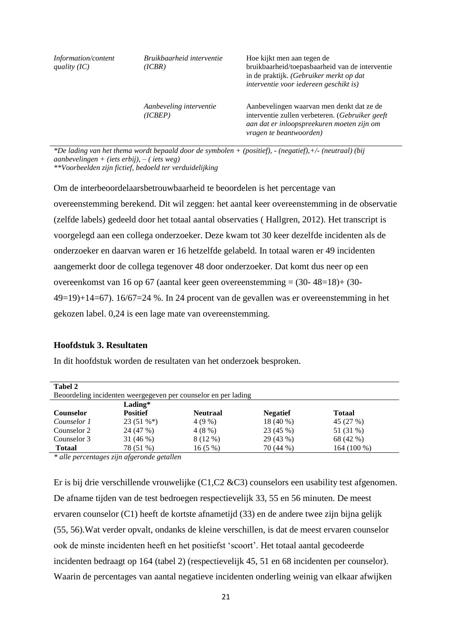| Information/content<br>quality $(IC)$ | Bruikbaarheid interventie<br>(ICBR) | Hoe kijkt men aan tegen de<br>bruikbaarheid/toepasbaarheid van de interventie<br>in de praktijk. (Gebruiker merkt op dat<br>interventie voor iedereen geschikt is)    |  |  |
|---------------------------------------|-------------------------------------|-----------------------------------------------------------------------------------------------------------------------------------------------------------------------|--|--|
|                                       | Aanbeveling interventie<br>(ICBEP)  | Aanbevelingen waarvan men denkt dat ze de<br>interventie zullen verbeteren. (Gebruiker geeft<br>aan dat er inloopspreekuren moeten zijn om<br>vragen te beantwoorden) |  |  |

*\*De lading van het thema wordt bepaald door de symbolen + (positief), - (negatief),+/- (neutraal) (bij aanbevelingen + (iets erbij), – ( iets weg)*

*\*\*Voorbeelden zijn fictief, bedoeld ter verduidelijking*

Om de interbeoordelaarsbetrouwbaarheid te beoordelen is het percentage van overeenstemming berekend. Dit wil zeggen: het aantal keer overeenstemming in de observatie (zelfde labels) gedeeld door het totaal aantal observaties ( Hallgren, 2012). Het transcript is voorgelegd aan een collega onderzoeker. Deze kwam tot 30 keer dezelfde incidenten als de onderzoeker en daarvan waren er 16 hetzelfde gelabeld. In totaal waren er 49 incidenten aangemerkt door de collega tegenover 48 door onderzoeker. Dat komt dus neer op een overeenkomst van 16 op 67 (aantal keer geen overeenstemming = (30- 48=18)+ (30-  $49=19+14=67$ ).  $16/67=24$  %. In 24 procent van de gevallen was er overeenstemming in het gekozen label. 0,24 is een lage mate van overeenstemming.

#### <span id="page-20-0"></span>**Hoofdstuk 3. Resultaten**

In dit hoofdstuk worden de resultaten van het onderzoek besproken.

| <b>Tabel 2</b>   |                                                                |                 |                 |               |  |  |  |
|------------------|----------------------------------------------------------------|-----------------|-----------------|---------------|--|--|--|
|                  | Beoordeling incidenten weergegeven per counselor en per lading |                 |                 |               |  |  |  |
|                  | Lading $*$                                                     |                 |                 |               |  |  |  |
| <b>Counselor</b> | <b>Positief</b>                                                | <b>Neutraal</b> | <b>Negatief</b> | <b>Totaal</b> |  |  |  |
| Counselor 1      | $23(51\%*)$                                                    | $4(9\%)$        | 18 (40 %)       | 45 (27 %)     |  |  |  |
| Counselor 2      | 24 (47 %)                                                      | 4(8%)           | 23 (45 %)       | 51 (31 %)     |  |  |  |
| Counselor 3      | 31 $(46%)$                                                     | 8 (12 %)        | 29 (43 %)       | 68 (42 %)     |  |  |  |
| <b>Totaal</b>    | 78 (51 %)                                                      | 16(5%)          | 70 (44 %)       | 164 (100 %)   |  |  |  |
|                  |                                                                |                 |                 |               |  |  |  |

*\* alle percentages zijn afgeronde getallen*

Er is bij drie verschillende vrouwelijke (C1,C2 &C3) counselors een usability test afgenomen. De afname tijden van de test bedroegen respectievelijk 33, 55 en 56 minuten. De meest ervaren counselor (C1) heeft de kortste afnametijd (33) en de andere twee zijn bijna gelijk (55, 56).Wat verder opvalt, ondanks de kleine verschillen, is dat de meest ervaren counselor ook de minste incidenten heeft en het positiefst 'scoort'. Het totaal aantal gecodeerde incidenten bedraagt op 164 (tabel 2) (respectievelijk 45, 51 en 68 incidenten per counselor). Waarin de percentages van aantal negatieve incidenten onderling weinig van elkaar afwijken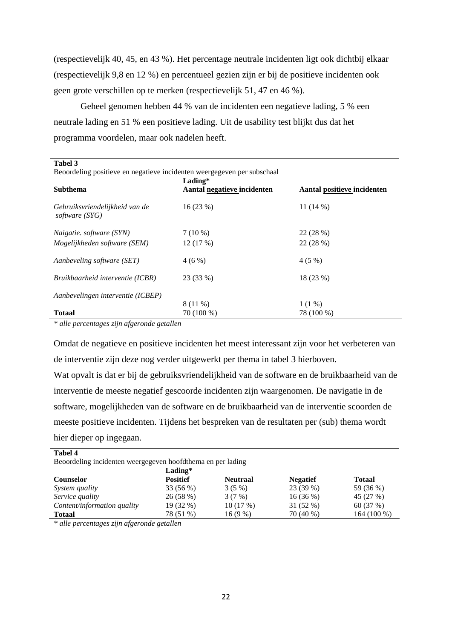(respectievelijk 40, 45, en 43 %). Het percentage neutrale incidenten ligt ook dichtbij elkaar (respectievelijk 9,8 en 12 %) en percentueel gezien zijn er bij de positieve incidenten ook geen grote verschillen op te merken (respectievelijk 51, 47 en 46 %).

Geheel genomen hebben 44 % van de incidenten een negatieve lading, 5 % een neutrale lading en 51 % een positieve lading. Uit de usability test blijkt dus dat het programma voordelen, maar ook nadelen heeft.

| Tabel 3                                                                 |                                        |                             |  |  |  |
|-------------------------------------------------------------------------|----------------------------------------|-----------------------------|--|--|--|
| Beoordeling positieve en negatieve incidenten weergegeven per subschaal |                                        |                             |  |  |  |
| <b>Subthema</b>                                                         | Lading*<br>Aantal negatieve incidenten | Aantal positieve incidenten |  |  |  |
| Gebruiksvriendelijkheid van de<br>software (SYG)                        | 16(23%)                                | 11 $(14\%)$                 |  |  |  |
| <i>Naigatie. software (SYN)</i>                                         | $7(10\%)$                              | 22 (28 %)                   |  |  |  |
| Mogelijkheden software (SEM)                                            | 12(17%)                                | 22 (28 %)                   |  |  |  |
| Aanbeveling software (SET)                                              | 4(6%)                                  | 4(5%)                       |  |  |  |
| Bruikbaarheid interventie (ICBR)                                        | 23 (33 %)                              | 18 (23 %)                   |  |  |  |
| Aanbevelingen interventie (ICBEP)                                       |                                        |                             |  |  |  |
|                                                                         | 8 (11 %)                               | $1(1\%)$                    |  |  |  |
| <b>Totaal</b>                                                           | 70 (100 %)                             | 78 (100 %)                  |  |  |  |

*\* alle percentages zijn afgeronde getallen*

Omdat de negatieve en positieve incidenten het meest interessant zijn voor het verbeteren van de interventie zijn deze nog verder uitgewerkt per thema in tabel 3 hierboven. Wat opvalt is dat er bij de gebruiksvriendelijkheid van de software en de bruikbaarheid van de interventie de meeste negatief gescoorde incidenten zijn waargenomen. De navigatie in de software, mogelijkheden van de software en de bruikbaarheid van de interventie scoorden de meeste positieve incidenten. Tijdens het bespreken van de resultaten per (sub) thema wordt hier dieper op ingegaan.

| <b>Tabel 4</b>                                              |                 |                 |                 |               |  |  |
|-------------------------------------------------------------|-----------------|-----------------|-----------------|---------------|--|--|
| Beoordeling incidenten weergegeven hoofdthema en per lading |                 |                 |                 |               |  |  |
|                                                             | Lading*         |                 |                 |               |  |  |
| <b>Counselor</b>                                            | <b>Positief</b> | <b>Neutraal</b> | <b>Negatief</b> | <b>Totaal</b> |  |  |
| System quality                                              | 33 (56 %)       | $3(5\%)$        | 23 (39 %)       | 59 (36 %)     |  |  |
| Service quality                                             | 26 (58 %)       | 3(7%)           | $16(36\%)$      | 45 (27 %)     |  |  |
| Content/information quality                                 | 19 (32 %)       | 10(17%)         | $31(52\%)$      | 60 (37 %)     |  |  |
| <b>Totaal</b>                                               | 78 (51 %)       | $16(9\%)$       | 70 (40 %)       | 164 (100 %)   |  |  |

<span id="page-21-0"></span>*\* alle percentages zijn afgeronde getallen*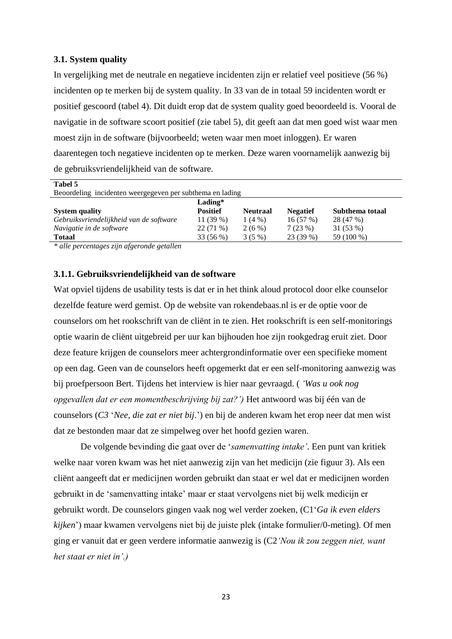#### **3.1. System quality**

In vergelijking met de neutrale en negatieve incidenten zijn er relatief veel positieve (56 %) incidenten op te merken bij de system quality. In 33 van de in totaal 59 incidenten wordt er positief gescoord (tabel 4). Dit duidt erop dat de system quality goed beoordeeld is. Vooral de navigatie in de software scoort positief (zie tabel 5), dit geeft aan dat men goed wist waar men moest zijn in de software (bijvoorbeeld; weten waar men moet inloggen). Er waren daarentegen toch negatieve incidenten op te merken. Deze waren voornamelijk aanwezig bij de gebruiksvriendelijkheid van de software.

| Tabel 5                                                   |                 |                 |                 |                 |  |
|-----------------------------------------------------------|-----------------|-----------------|-----------------|-----------------|--|
| Beoordeling incidenten weergegeven per subthema en lading |                 |                 |                 |                 |  |
|                                                           | $Lading*$       |                 |                 |                 |  |
| <b>System quality</b>                                     | <b>Positief</b> | <b>Neutraal</b> | <b>Negatief</b> | Subthema totaal |  |
| Gebruiksvriendelijkheid van de software                   | 11 $(39%)$      | $1(4\%)$        | 16(57%)         | 28 (47 %)       |  |
| Navigatie in de software                                  | $22(71\%)$      | $2(6\%)$        | 7(23%)          | 31 (53 %)       |  |
| <b>Totaal</b>                                             | 33 (56 %)       | $3(5\%)$        | 23 (39 %)       | 59 (100 %)      |  |

*\* alle percentages zijn afgeronde getallen*

#### <span id="page-22-0"></span>**3.1.1. Gebruiksvriendelijkheid van de software**

Wat opviel tijdens de usability tests is dat er in het think aloud protocol door elke counselor dezelfde feature werd gemist. Op de website van rokendebaas.nl is er de optie voor de counselors om het rookschrift van de cliënt in te zien. Het rookschrift is een self-monitorings optie waarin de cliënt uitgebreid per uur kan bijhouden hoe zijn rookgedrag eruit ziet. Door deze feature krijgen de counselors meer achtergrondinformatie over een specifieke moment op een dag. Geen van de counselors heeft opgemerkt dat er een self-monitoring aanwezig was bij proefpersoon Bert. Tijdens het interview is hier naar gevraagd. ( *'Was u ook nog opgevallen dat er een momentbeschrijving bij zat?')* Het antwoord was bij één van de counselors (*C3* '*Nee, die zat er niet bij*.') en bij de anderen kwam het erop neer dat men wist dat ze bestonden maar dat ze simpelweg over het hoofd gezien waren.

De volgende bevinding die gaat over de '*samenvatting intake'.* Een punt van kritiek welke naar voren kwam was het niet aanwezig zijn van het medicijn (zie figuur 3). Als een cliënt aangeeft dat er medicijnen worden gebruikt dan staat er wel dat er medicijnen worden gebruikt in de 'samenvatting intake' maar er staat vervolgens niet bij welk medicijn er gebruikt wordt. De counselors gingen vaak nog wel verder zoeken, (C1'*Ga ik even elders kijken*') maar kwamen vervolgens niet bij de juiste plek (intake formulier/0-meting). Of men ging er vanuit dat er geen verdere informatie aanwezig is (C2*'Nou ik zou zeggen niet, want het staat er niet in'.)*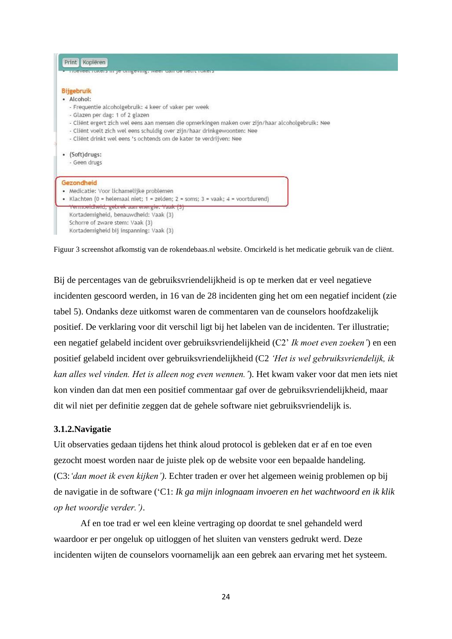| Print Kopiëren                                                                                                                                                                                                                                       |  |
|------------------------------------------------------------------------------------------------------------------------------------------------------------------------------------------------------------------------------------------------------|--|
| <b>INCORPORATION IS COUNTY TO THE MODEL OF A REPORT OF A LIGHT OF A REPORT OF A LIGHT OF A REPORT OF A LIGHT OF A</b>                                                                                                                                |  |
| <b>Bijgebruik</b><br>· Alcohol:<br>- Frequentie alcoholgebruik: 4 keer of vaker per week<br>- Glazen per dag: 1 of 2 glazen                                                                                                                          |  |
| - Cliënt ergert zich wel eens aan mensen die opmerkingen maken over zijn/haar alcoholgebruik: Nee<br>- Client voelt zich wel eens schuldig over zijn/haar drinkgewoonten: Nee<br>- Cliënt drinkt wel eens 's ochtends om de kater te verdrijven: Nee |  |
| • (Soft)drugs:<br>- Geen drugs                                                                                                                                                                                                                       |  |
| Gezondheid<br>• Medicatie: Voor lichamelijke problemen<br>• Klachten (0 = helemaal niet; 1 = zelden; 2 = soms; 3 = vaak; 4 = voortdurend)                                                                                                            |  |
| <del>Vermoeidheid, gebrek aan energie. Vaak (3)</del><br>Kortademigheid, benauwdheid: Vaak (3)<br>Schorre of zware stem: Vaak (3)<br>Kortademigheid bij inspanning: Vaak (3)                                                                         |  |

Figuur 3 screenshot afkomstig van de rokendebaas.nl website. Omcirkeld is het medicatie gebruik van de cliënt.

Bij de percentages van de gebruiksvriendelijkheid is op te merken dat er veel negatieve incidenten gescoord werden, in 16 van de 28 incidenten ging het om een negatief incident (zie tabel 5). Ondanks deze uitkomst waren de commentaren van de counselors hoofdzakelijk positief. De verklaring voor dit verschil ligt bij het labelen van de incidenten. Ter illustratie; een negatief gelabeld incident over gebruiksvriendelijkheid (C2' *Ik moet even zoeken'*) en een positief gelabeld incident over gebruiksvriendelijkheid (C2 *'Het is wel gebruiksvriendelijk, ik kan alles wel vinden. Het is alleen nog even wennen.'*). Het kwam vaker voor dat men iets niet kon vinden dan dat men een positief commentaar gaf over de gebruiksvriendelijkheid, maar dit wil niet per definitie zeggen dat de gehele software niet gebruiksvriendelijk is.

#### <span id="page-23-0"></span>**3.1.2.Navigatie**

Uit observaties gedaan tijdens het think aloud protocol is gebleken dat er af en toe even gezocht moest worden naar de juiste plek op de website voor een bepaalde handeling. (C3:*'dan moet ik even kijken')*. Echter traden er over het algemeen weinig problemen op bij de navigatie in de software ('C1: *Ik ga mijn inlognaam invoeren en het wachtwoord en ik klik op het woordje verder.')*.

Af en toe trad er wel een kleine vertraging op doordat te snel gehandeld werd waardoor er per ongeluk op uitloggen of het sluiten van vensters gedrukt werd. Deze incidenten wijten de counselors voornamelijk aan een gebrek aan ervaring met het systeem.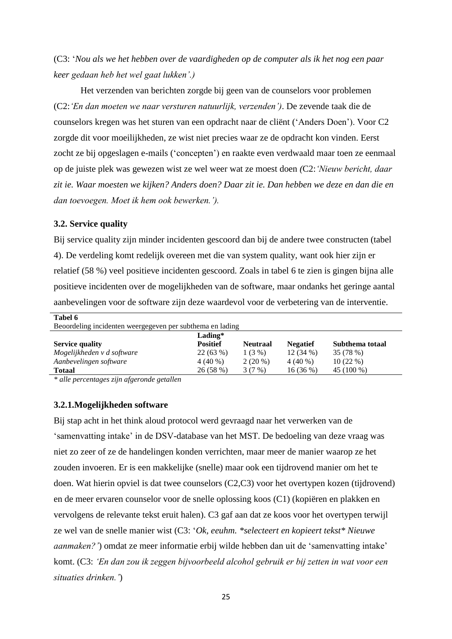(C3: '*Nou als we het hebben over de vaardigheden op de computer als ik het nog een paar keer gedaan heb het wel gaat lukken'.)*

Het verzenden van berichten zorgde bij geen van de counselors voor problemen (C2:*'En dan moeten we naar versturen natuurlijk, verzenden')*. De zevende taak die de counselors kregen was het sturen van een opdracht naar de cliënt ('Anders Doen'). Voor C2 zorgde dit voor moeilijkheden, ze wist niet precies waar ze de opdracht kon vinden. Eerst zocht ze bij opgeslagen e-mails ('concepten') en raakte even verdwaald maar toen ze eenmaal op de juiste plek was gewezen wist ze wel weer wat ze moest doen *(*C2:*'Nieuw bericht, daar zit ie. Waar moesten we kijken? Anders doen? Daar zit ie. Dan hebben we deze en dan die en dan toevoegen. Moet ik hem ook bewerken.').*

#### <span id="page-24-0"></span>**3.2. Service quality**

**Tabel 6**

Bij service quality zijn minder incidenten gescoord dan bij de andere twee constructen (tabel 4). De verdeling komt redelijk overeen met die van system quality, want ook hier zijn er relatief (58 %) veel positieve incidenten gescoord. Zoals in tabel 6 te zien is gingen bijna alle positieve incidenten over de mogelijkheden van de software, maar ondanks het geringe aantal aanbevelingen voor de software zijn deze waardevol voor de verbetering van de interventie.

| 1 adel 0                                                  |                 |                 |                 |                 |  |
|-----------------------------------------------------------|-----------------|-----------------|-----------------|-----------------|--|
| Beoordeling incidenten weergegeven per subthema en lading |                 |                 |                 |                 |  |
| Lading*                                                   |                 |                 |                 |                 |  |
| <b>Service quality</b>                                    | <b>Positief</b> | <b>Neutraal</b> | <b>Negatief</b> | Subthema totaal |  |
| Mogelijkheden v d software                                | 22(63%)         | $1(3\%)$        | $12(34\%)$      | 35 (78 %)       |  |
| Aanbevelingen software                                    | $4(40\%)$       | $2(20\%)$       | $4(40\%)$       | $10(22\%)$      |  |
| <b>Totaal</b>                                             | 26(58%)         | 3(7%)           | $16(36\%)$      | 45 (100 %)      |  |

*\* alle percentages zijn afgeronde getallen*

#### <span id="page-24-1"></span>**3.2.1.Mogelijkheden software**

Bij stap acht in het think aloud protocol werd gevraagd naar het verwerken van de 'samenvatting intake' in de DSV-database van het MST. De bedoeling van deze vraag was niet zo zeer of ze de handelingen konden verrichten, maar meer de manier waarop ze het zouden invoeren. Er is een makkelijke (snelle) maar ook een tijdrovend manier om het te doen. Wat hierin opviel is dat twee counselors (C2,C3) voor het overtypen kozen (tijdrovend) en de meer ervaren counselor voor de snelle oplossing koos (C1) (kopiëren en plakken en vervolgens de relevante tekst eruit halen). C3 gaf aan dat ze koos voor het overtypen terwijl ze wel van de snelle manier wist (C3: '*Ok, eeuhm. \*selecteert en kopieert tekst\* Nieuwe aanmaken?'*) omdat ze meer informatie erbij wilde hebben dan uit de 'samenvatting intake' komt. (C3: *'En dan zou ik zeggen bijvoorbeeld alcohol gebruik er bij zetten in wat voor een situaties drinken.'*)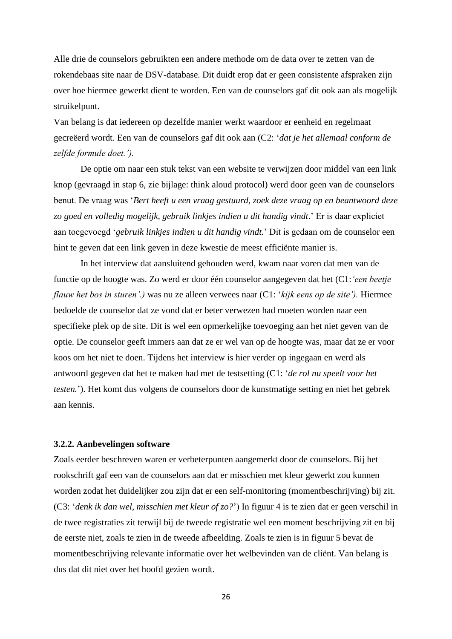Alle drie de counselors gebruikten een andere methode om de data over te zetten van de rokendebaas site naar de DSV-database. Dit duidt erop dat er geen consistente afspraken zijn over hoe hiermee gewerkt dient te worden. Een van de counselors gaf dit ook aan als mogelijk struikelpunt.

Van belang is dat iedereen op dezelfde manier werkt waardoor er eenheid en regelmaat gecreëerd wordt. Een van de counselors gaf dit ook aan (C2: '*dat je het allemaal conform de zelfde formule doet.').*

De optie om naar een stuk tekst van een website te verwijzen door middel van een link knop (gevraagd in stap 6, zie bijlage: think aloud protocol) werd door geen van de counselors benut. De vraag was '*Bert heeft u een vraag gestuurd, zoek deze vraag op en beantwoord deze zo goed en volledig mogelijk, gebruik linkjes indien u dit handig vindt*.' Er is daar expliciet aan toegevoegd '*gebruik linkjes indien u dit handig vindt.*' Dit is gedaan om de counselor een hint te geven dat een link geven in deze kwestie de meest efficiënte manier is.

In het interview dat aansluitend gehouden werd, kwam naar voren dat men van de functie op de hoogte was. Zo werd er door één counselor aangegeven dat het (C1:*'een beetje flauw het bos in sturen'.)* was nu ze alleen verwees naar (C1: '*kijk eens op de site').* Hiermee bedoelde de counselor dat ze vond dat er beter verwezen had moeten worden naar een specifieke plek op de site. Dit is wel een opmerkelijke toevoeging aan het niet geven van de optie. De counselor geeft immers aan dat ze er wel van op de hoogte was, maar dat ze er voor koos om het niet te doen. Tijdens het interview is hier verder op ingegaan en werd als antwoord gegeven dat het te maken had met de testsetting (C1: '*de rol nu speelt voor het testen.*'). Het komt dus volgens de counselors door de kunstmatige setting en niet het gebrek aan kennis.

#### <span id="page-25-0"></span>**3.2.2. Aanbevelingen software**

Zoals eerder beschreven waren er verbeterpunten aangemerkt door de counselors. Bij het rookschrift gaf een van de counselors aan dat er misschien met kleur gewerkt zou kunnen worden zodat het duidelijker zou zijn dat er een self-monitoring (momentbeschrijving) bij zit. (C3: '*denk ik dan wel, misschien met kleur of zo?*') In figuur 4 is te zien dat er geen verschil in de twee registraties zit terwijl bij de tweede registratie wel een moment beschrijving zit en bij de eerste niet, zoals te zien in de tweede afbeelding. Zoals te zien is in figuur 5 bevat de momentbeschrijving relevante informatie over het welbevinden van de cliënt. Van belang is dus dat dit niet over het hoofd gezien wordt.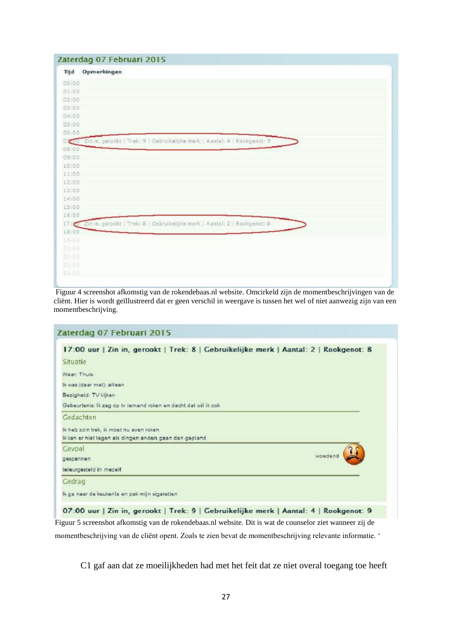|       | Zaterdag 07 Februari 2015                                                      |
|-------|--------------------------------------------------------------------------------|
| Tijd  | Opmerkingen                                                                    |
| 00:00 |                                                                                |
| 01:00 |                                                                                |
| 02:00 |                                                                                |
| 03:00 |                                                                                |
| 04:00 |                                                                                |
| 05:00 |                                                                                |
| 06:00 |                                                                                |
|       | 0 00 Zin in, gerookt   Trek: 9   Gebruikelijke merk   Aantal: 4   Rookgenot: 9 |
| 08:00 |                                                                                |
| 09:00 |                                                                                |
| 10:00 |                                                                                |
| 11:00 |                                                                                |
| 12:00 |                                                                                |
| 13:00 |                                                                                |
| 14:00 |                                                                                |
| 13:00 |                                                                                |
| 16:00 |                                                                                |
|       | 17 2in in, gerookt   Trek: 8   Gebruikelijke merk   Aantal: 2   Rookgenot: 8   |
| 18:00 |                                                                                |
| 13:00 |                                                                                |
| 20:00 |                                                                                |
| 21-80 |                                                                                |
| 22.00 |                                                                                |
| 23:00 |                                                                                |
|       |                                                                                |

Figuur 4 screenshot afkomstig van de rokendebaas.nl website. Omcirkeld zijn de momentbeschrijvingen van de cliënt. Hier is wordt geïllustreerd dat er geen verschil in weergave is tussen het wel of niet aanwezig zijn van een momentbeschrijving.

|                                                                | 17:00 uur   Zin in, gerookt   Trek: 8   Gebruikelijke merk   Aantal: 2   Rookgenot: 8 |
|----------------------------------------------------------------|---------------------------------------------------------------------------------------|
| Situatie                                                       |                                                                                       |
| Waar: Thuis                                                    |                                                                                       |
| Ik was (daar met): alleen                                      |                                                                                       |
| Bezigheid: TV kijken                                           |                                                                                       |
| Gebeurtenis: Ik zag op tv iemand roken en dacht dat wil ik ook |                                                                                       |
| Gedachten                                                      |                                                                                       |
| Ik heb zo'n trek, ik moet nu even roken                        |                                                                                       |
| Ikkan er niet tegen als dingen anders gaan dan gepland         |                                                                                       |
| Gevoel                                                         |                                                                                       |
| gespannen                                                      | woedend                                                                               |
| teleurgesteld in mezelf                                        |                                                                                       |
| Gedrag                                                         |                                                                                       |
| Ik ga naar de keukenis en pak mijn sigaretten                  |                                                                                       |

momentbeschrijving van de cliënt opent. Zoals te zien bevat de momentbeschrijving relevante informatie. '

C1 gaf aan dat ze moeilijkheden had met het feit dat ze niet overal toegang toe heeft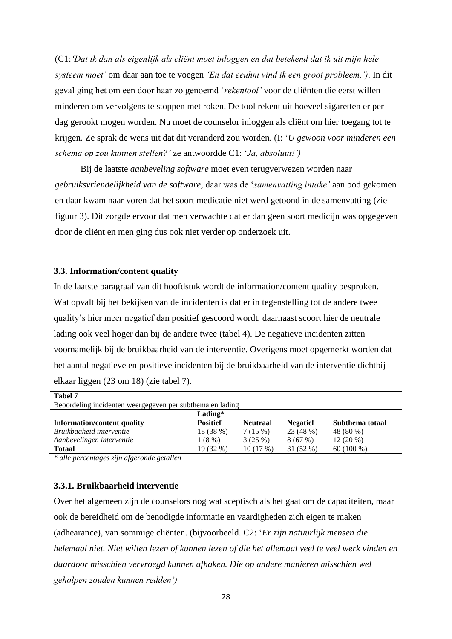(C1:*'Dat ik dan als eigenlijk als cliënt moet inloggen en dat betekend dat ik uit mijn hele systeem moet'* om daar aan toe te voegen *'En dat eeuhm vind ik een groot probleem.')*. In dit geval ging het om een door haar zo genoemd '*rekentool'* voor de cliënten die eerst willen minderen om vervolgens te stoppen met roken. De tool rekent uit hoeveel sigaretten er per dag gerookt mogen worden. Nu moet de counselor inloggen als cliënt om hier toegang tot te krijgen. Ze sprak de wens uit dat dit veranderd zou worden. (I: '*U gewoon voor minderen een schema op zou kunnen stellen?'* ze antwoordde C1: '*Ja, absoluut!')*

Bij de laatste *aanbeveling software* moet even terugverwezen worden naar *gebruiksvriendelijkheid van de software,* daar was de '*samenvatting intake'* aan bod gekomen en daar kwam naar voren dat het soort medicatie niet werd getoond in de samenvatting (zie figuur 3). Dit zorgde ervoor dat men verwachte dat er dan geen soort medicijn was opgegeven door de cliënt en men ging dus ook niet verder op onderzoek uit.

#### <span id="page-27-0"></span>**3.3. Information/content quality**

In de laatste paragraaf van dit hoofdstuk wordt de information/content quality besproken. Wat opvalt bij het bekijken van de incidenten is dat er in tegenstelling tot de andere twee quality's hier meer negatief dan positief gescoord wordt, daarnaast scoort hier de neutrale lading ook veel hoger dan bij de andere twee (tabel 4). De negatieve incidenten zitten voornamelijk bij de bruikbaarheid van de interventie. Overigens moet opgemerkt worden dat het aantal negatieve en positieve incidenten bij de bruikbaarheid van de interventie dichtbij elkaar liggen (23 om 18) (zie tabel 7).

| Tabel 7                                                   |                 |                 |                 |                 |  |
|-----------------------------------------------------------|-----------------|-----------------|-----------------|-----------------|--|
| Beoordeling incidenten weergegeven per subthema en lading |                 |                 |                 |                 |  |
|                                                           | $Lading*$       |                 |                 |                 |  |
| <b>Information/content quality</b>                        | <b>Positief</b> | <b>Neutraal</b> | <b>Negatief</b> | Subthema totaal |  |
| Bruikbaaheid interventie                                  | 18 (38 %)       | 7(15%)          | 23 (48 %)       | 48 (80 %)       |  |
| Aanbevelingen interventie                                 | 1(8%)           | 3(25%)          | 8(67%)          | $12(20\%)$      |  |
| <b>Totaal</b>                                             | 19 (32 %)       | 10(17%)         | 31 (52 %)       | $60(100\%)$     |  |

*\* alle percentages zijn afgeronde getallen*

#### <span id="page-27-1"></span>**3.3.1. Bruikbaarheid interventie**

Over het algemeen zijn de counselors nog wat sceptisch als het gaat om de capaciteiten, maar ook de bereidheid om de benodigde informatie en vaardigheden zich eigen te maken (adhearance), van sommige cliënten. (bijvoorbeeld. C2: '*Er zijn natuurlijk mensen die helemaal niet. Niet willen lezen of kunnen lezen of die het allemaal veel te veel werk vinden en daardoor misschien vervroegd kunnen afhaken. Die op andere manieren misschien wel geholpen zouden kunnen redden')*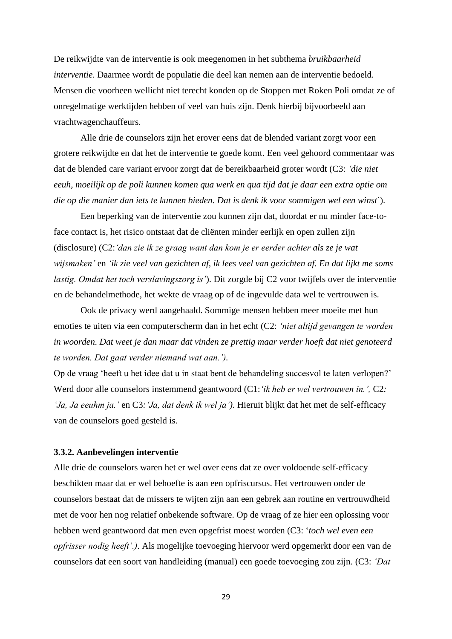De reikwijdte van de interventie is ook meegenomen in het subthema *bruikbaarheid interventie*. Daarmee wordt de populatie die deel kan nemen aan de interventie bedoeld. Mensen die voorheen wellicht niet terecht konden op de Stoppen met Roken Poli omdat ze of onregelmatige werktijden hebben of veel van huis zijn. Denk hierbij bijvoorbeeld aan vrachtwagenchauffeurs.

Alle drie de counselors zijn het erover eens dat de blended variant zorgt voor een grotere reikwijdte en dat het de interventie te goede komt. Een veel gehoord commentaar was dat de blended care variant ervoor zorgt dat de bereikbaarheid groter wordt (C3: *'die niet eeuh, moeilijk op de poli kunnen komen qua werk en qua tijd dat je daar een extra optie om die op die manier dan iets te kunnen bieden. Dat is denk ik voor sommigen wel een winst*´).

Een beperking van de interventie zou kunnen zijn dat, doordat er nu minder face-toface contact is, het risico ontstaat dat de cliënten minder eerlijk en open zullen zijn (disclosure) (C2:*'dan zie ik ze graag want dan kom je er eerder achter als ze je wat wijsmaken'* en *'ik zie veel van gezichten af, ik lees veel van gezichten af. En dat lijkt me soms lastig. Omdat het toch verslavingszorg is'*). Dit zorgde bij C2 voor twijfels over de interventie en de behandelmethode, het wekte de vraag op of de ingevulde data wel te vertrouwen is.

Ook de privacy werd aangehaald. Sommige mensen hebben meer moeite met hun emoties te uiten via een computerscherm dan in het echt (C2: *'niet altijd gevangen te worden in woorden. Dat weet je dan maar dat vinden ze prettig maar verder hoeft dat niet genoteerd te worden. Dat gaat verder niemand wat aan.').*

Op de vraag 'heeft u het idee dat u in staat bent de behandeling succesvol te laten verlopen?' Werd door alle counselors instemmend geantwoord (C1:*'ik heb er wel vertrouwen in.',* C2*: 'Ja, Ja eeuhm ja.'* en C3*:'Ja, dat denk ik wel ja')*. Hieruit blijkt dat het met de self-efficacy van de counselors goed gesteld is.

#### <span id="page-28-0"></span>**3.3.2. Aanbevelingen interventie**

Alle drie de counselors waren het er wel over eens dat ze over voldoende self-efficacy beschikten maar dat er wel behoefte is aan een opfriscursus. Het vertrouwen onder de counselors bestaat dat de missers te wijten zijn aan een gebrek aan routine en vertrouwdheid met de voor hen nog relatief onbekende software. Op de vraag of ze hier een oplossing voor hebben werd geantwoord dat men even opgefrist moest worden (C3: '*toch wel even een opfrisser nodig heeft'.)*. Als mogelijke toevoeging hiervoor werd opgemerkt door een van de counselors dat een soort van handleiding (manual) een goede toevoeging zou zijn. (C3: *'Dat*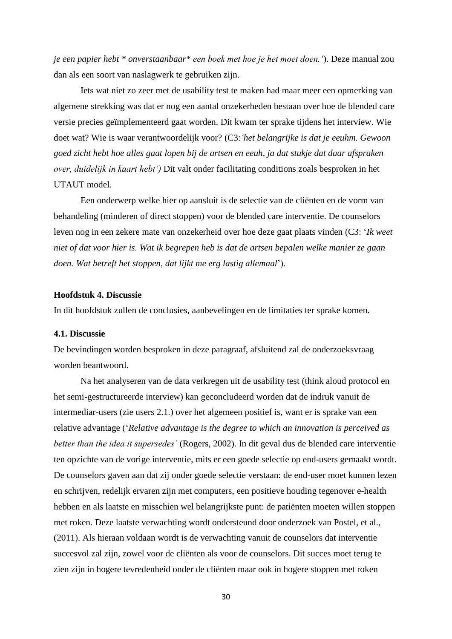*je een papier hebt \* onverstaanbaar\* een boek met hoe je het moet doen.'*). Deze manual zou dan als een soort van naslagwerk te gebruiken zijn.

Iets wat niet zo zeer met de usability test te maken had maar meer een opmerking van algemene strekking was dat er nog een aantal onzekerheden bestaan over hoe de blended care versie precies geïmplementeerd gaat worden. Dit kwam ter sprake tijdens het interview. Wie doet wat? Wie is waar verantwoordelijk voor? (C3:*'het belangrijke is dat je eeuhm. Gewoon goed zicht hebt hoe alles gaat lopen bij de artsen en eeuh, ja dat stukje dat daar afspraken over, duidelijk in kaart hebt')* Dit valt onder facilitating conditions zoals besproken in het UTAUT model.

Een onderwerp welke hier op aansluit is de selectie van de cliënten en de vorm van behandeling (minderen of direct stoppen) voor de blended care interventie. De counselors leven nog in een zekere mate van onzekerheid over hoe deze gaat plaats vinden (C3: '*Ik weet niet of dat voor hier is. Wat ik begrepen heb is dat de artsen bepalen welke manier ze gaan doen. Wat betreft het stoppen, dat lijkt me erg lastig allemaal*').

#### <span id="page-29-0"></span>**Hoofdstuk 4. Discussie**

In dit hoofdstuk zullen de conclusies, aanbevelingen en de limitaties ter sprake komen.

#### <span id="page-29-1"></span>**4.1. Discussie**

De bevindingen worden besproken in deze paragraaf, afsluitend zal de onderzoeksvraag worden beantwoord.

Na het analyseren van de data verkregen uit de usability test (think aloud protocol en het semi-gestructureerde interview) kan geconcludeerd worden dat de indruk vanuit de intermediar-users (zie users 2.1.) over het algemeen positief is, want er is sprake van een relative advantage ('*Relative advantage is the degree to which an innovation is perceived as better than the idea it supersedes'* (Rogers, 2002). In dit geval dus de blended care interventie ten opzichte van de vorige interventie, mits er een goede selectie op end-users gemaakt wordt. De counselors gaven aan dat zij onder goede selectie verstaan: de end-user moet kunnen lezen en schrijven, redelijk ervaren zijn met computers, een positieve houding tegenover e-health hebben en als laatste en misschien wel belangrijkste punt: de patiënten moeten willen stoppen met roken. Deze laatste verwachting wordt ondersteund door onderzoek van Postel, et al., (2011). Als hieraan voldaan wordt is de verwachting vanuit de counselors dat interventie succesvol zal zijn, zowel voor de cliënten als voor de counselors. Dit succes moet terug te zien zijn in hogere tevredenheid onder de cliënten maar ook in hogere stoppen met roken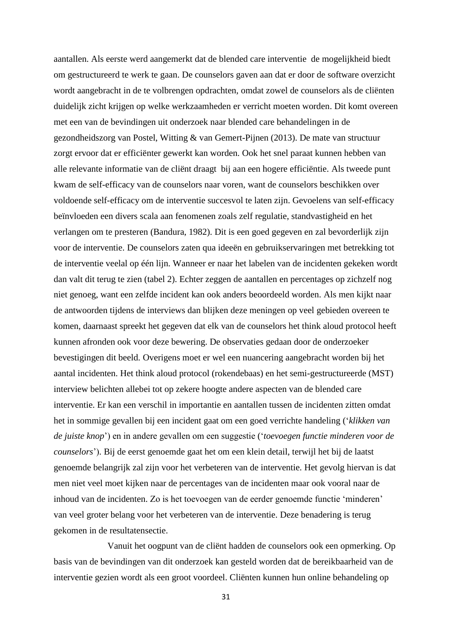aantallen. Als eerste werd aangemerkt dat de blended care interventie de mogelijkheid biedt om gestructureerd te werk te gaan. De counselors gaven aan dat er door de software overzicht wordt aangebracht in de te volbrengen opdrachten, omdat zowel de counselors als de cliënten duidelijk zicht krijgen op welke werkzaamheden er verricht moeten worden. Dit komt overeen met een van de bevindingen uit onderzoek naar blended care behandelingen in de gezondheidszorg van Postel, Witting & van Gemert-Pijnen (2013). De mate van structuur zorgt ervoor dat er efficiënter gewerkt kan worden. Ook het snel paraat kunnen hebben van alle relevante informatie van de cliënt draagt bij aan een hogere efficiëntie. Als tweede punt kwam de self-efficacy van de counselors naar voren, want de counselors beschikken over voldoende self-efficacy om de interventie succesvol te laten zijn. Gevoelens van self-efficacy beïnvloeden een divers scala aan fenomenen zoals zelf regulatie, standvastigheid en het verlangen om te presteren (Bandura, 1982). Dit is een goed gegeven en zal bevorderlijk zijn voor de interventie. De counselors zaten qua ideeën en gebruikservaringen met betrekking tot de interventie veelal op één lijn. Wanneer er naar het labelen van de incidenten gekeken wordt dan valt dit terug te zien (tabel 2). Echter zeggen de aantallen en percentages op zichzelf nog niet genoeg, want een zelfde incident kan ook anders beoordeeld worden. Als men kijkt naar de antwoorden tijdens de interviews dan blijken deze meningen op veel gebieden overeen te komen, daarnaast spreekt het gegeven dat elk van de counselors het think aloud protocol heeft kunnen afronden ook voor deze bewering. De observaties gedaan door de onderzoeker bevestigingen dit beeld. Overigens moet er wel een nuancering aangebracht worden bij het aantal incidenten. Het think aloud protocol (rokendebaas) en het semi-gestructureerde (MST) interview belichten allebei tot op zekere hoogte andere aspecten van de blended care interventie. Er kan een verschil in importantie en aantallen tussen de incidenten zitten omdat het in sommige gevallen bij een incident gaat om een goed verrichte handeling ('*klikken van de juiste knop*') en in andere gevallen om een suggestie ('*toevoegen functie minderen voor de counselors*'). Bij de eerst genoemde gaat het om een klein detail, terwijl het bij de laatst genoemde belangrijk zal zijn voor het verbeteren van de interventie. Het gevolg hiervan is dat men niet veel moet kijken naar de percentages van de incidenten maar ook vooral naar de inhoud van de incidenten. Zo is het toevoegen van de eerder genoemde functie 'minderen' van veel groter belang voor het verbeteren van de interventie. Deze benadering is terug gekomen in de resultatensectie.

Vanuit het oogpunt van de cliënt hadden de counselors ook een opmerking. Op basis van de bevindingen van dit onderzoek kan gesteld worden dat de bereikbaarheid van de interventie gezien wordt als een groot voordeel. Cliënten kunnen hun online behandeling op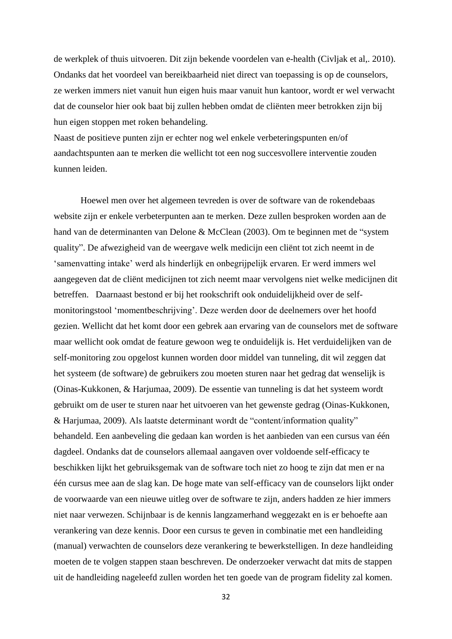de werkplek of thuis uitvoeren. Dit zijn bekende voordelen van e-health (Civljak et al,. 2010). Ondanks dat het voordeel van bereikbaarheid niet direct van toepassing is op de counselors, ze werken immers niet vanuit hun eigen huis maar vanuit hun kantoor, wordt er wel verwacht dat de counselor hier ook baat bij zullen hebben omdat de cliënten meer betrokken zijn bij hun eigen stoppen met roken behandeling.

Naast de positieve punten zijn er echter nog wel enkele verbeteringspunten en/of aandachtspunten aan te merken die wellicht tot een nog succesvollere interventie zouden kunnen leiden.

Hoewel men over het algemeen tevreden is over de software van de rokendebaas website zijn er enkele verbeterpunten aan te merken. Deze zullen besproken worden aan de hand van de determinanten van Delone & McClean (2003). Om te beginnen met de "system quality". De afwezigheid van de weergave welk medicijn een cliënt tot zich neemt in de 'samenvatting intake' werd als hinderlijk en onbegrijpelijk ervaren. Er werd immers wel aangegeven dat de cliënt medicijnen tot zich neemt maar vervolgens niet welke medicijnen dit betreffen. Daarnaast bestond er bij het rookschrift ook onduidelijkheid over de selfmonitoringstool 'momentbeschrijving'. Deze werden door de deelnemers over het hoofd gezien. Wellicht dat het komt door een gebrek aan ervaring van de counselors met de software maar wellicht ook omdat de feature gewoon weg te onduidelijk is. Het verduidelijken van de self-monitoring zou opgelost kunnen worden door middel van tunneling, dit wil zeggen dat het systeem (de software) de gebruikers zou moeten sturen naar het gedrag dat wenselijk is (Oinas-Kukkonen, & Harjumaa, 2009). De essentie van tunneling is dat het systeem wordt gebruikt om de user te sturen naar het uitvoeren van het gewenste gedrag (Oinas-Kukkonen, & Harjumaa, 2009). Als laatste determinant wordt de "content/information quality" behandeld. Een aanbeveling die gedaan kan worden is het aanbieden van een cursus van één dagdeel. Ondanks dat de counselors allemaal aangaven over voldoende self-efficacy te beschikken lijkt het gebruiksgemak van de software toch niet zo hoog te zijn dat men er na één cursus mee aan de slag kan. De hoge mate van self-efficacy van de counselors lijkt onder de voorwaarde van een nieuwe uitleg over de software te zijn, anders hadden ze hier immers niet naar verwezen. Schijnbaar is de kennis langzamerhand weggezakt en is er behoefte aan verankering van deze kennis. Door een cursus te geven in combinatie met een handleiding (manual) verwachten de counselors deze verankering te bewerkstelligen. In deze handleiding moeten de te volgen stappen staan beschreven. De onderzoeker verwacht dat mits de stappen uit de handleiding nageleefd zullen worden het ten goede van de program fidelity zal komen.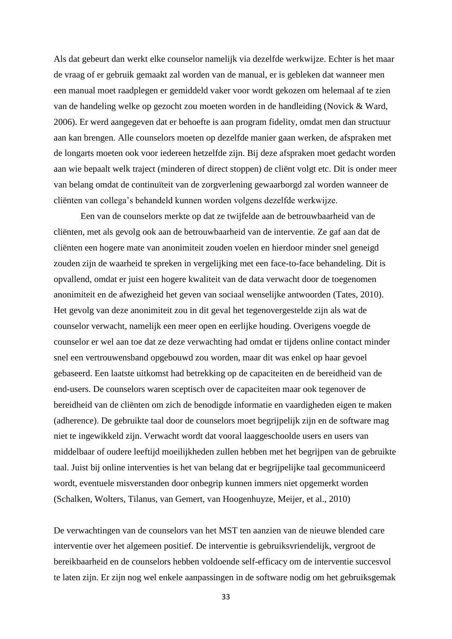Als dat gebeurt dan werkt elke counselor namelijk via dezelfde werkwijze. Echter is het maar de vraag of er gebruik gemaakt zal worden van de manual, er is gebleken dat wanneer men een manual moet raadplegen er gemiddeld vaker voor wordt gekozen om helemaal af te zien van de handeling welke op gezocht zou moeten worden in de handleiding (Novick & Ward, 2006). Er werd aangegeven dat er behoefte is aan program fidelity, omdat men dan structuur aan kan brengen. Alle counselors moeten op dezelfde manier gaan werken, de afspraken met de longarts moeten ook voor iedereen hetzelfde zijn. Bij deze afspraken moet gedacht worden aan wie bepaalt welk traject (minderen of direct stoppen) de cliënt volgt etc. Dit is onder meer van belang omdat de continuïteit van de zorgverlening gewaarborgd zal worden wanneer de cliënten van collega's behandeld kunnen worden volgens dezelfde werkwijze.

Een van de counselors merkte op dat ze twijfelde aan de betrouwbaarheid van de cliënten, met als gevolg ook aan de betrouwbaarheid van de interventie. Ze gaf aan dat de cliënten een hogere mate van anonimiteit zouden voelen en hierdoor minder snel geneigd zouden zijn de waarheid te spreken in vergelijking met een face-to-face behandeling. Dit is opvallend, omdat er juist een hogere kwaliteit van de data verwacht door de toegenomen anonimiteit en de afwezigheid het geven van sociaal wenselijke antwoorden (Tates, 2010). Het gevolg van deze anonimiteit zou in dit geval het tegenovergestelde zijn als wat de counselor verwacht, namelijk een meer open en eerlijke houding. Overigens voegde de counselor er wel aan toe dat ze deze verwachting had omdat er tijdens online contact minder snel een vertrouwensband opgebouwd zou worden, maar dit was enkel op haar gevoel gebaseerd. Een laatste uitkomst had betrekking op de capaciteiten en de bereidheid van de end-users. De counselors waren sceptisch over de capaciteiten maar ook tegenover de bereidheid van de cliënten om zich de benodigde informatie en vaardigheden eigen te maken (adherence). De gebruikte taal door de counselors moet begrijpelijk zijn en de software mag niet te ingewikkeld zijn. Verwacht wordt dat vooral laaggeschoolde users en users van middelbaar of oudere leeftijd moeilijkheden zullen hebben met het begrijpen van de gebruikte taal. Juist bij online interventies is het van belang dat er begrijpelijke taal gecommuniceerd wordt, eventuele misverstanden door onbegrip kunnen immers niet opgemerkt worden (Schalken, Wolters, Tilanus, van Gemert, van Hoogenhuyze, Meijer, et al., 2010)

De verwachtingen van de counselors van het MST ten aanzien van de nieuwe blended care interventie over het algemeen positief. De interventie is gebruiksvriendelijk, vergroot de bereikbaarheid en de counselors hebben voldoende self-efficacy om de interventie succesvol te laten zijn. Er zijn nog wel enkele aanpassingen in de software nodig om het gebruiksgemak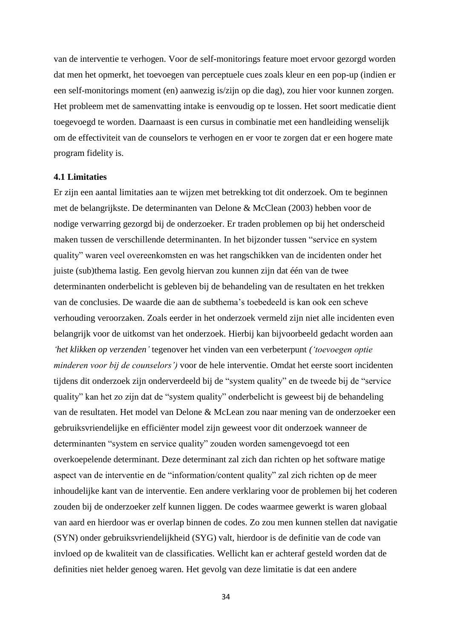van de interventie te verhogen. Voor de self-monitorings feature moet ervoor gezorgd worden dat men het opmerkt, het toevoegen van perceptuele cues zoals kleur en een pop-up (indien er een self-monitorings moment (en) aanwezig is/zijn op die dag), zou hier voor kunnen zorgen. Het probleem met de samenvatting intake is eenvoudig op te lossen. Het soort medicatie dient toegevoegd te worden. Daarnaast is een cursus in combinatie met een handleiding wenselijk om de effectiviteit van de counselors te verhogen en er voor te zorgen dat er een hogere mate program fidelity is.

#### <span id="page-33-0"></span>**4.1 Limitaties**

Er zijn een aantal limitaties aan te wijzen met betrekking tot dit onderzoek. Om te beginnen met de belangrijkste. De determinanten van Delone & McClean (2003) hebben voor de nodige verwarring gezorgd bij de onderzoeker. Er traden problemen op bij het onderscheid maken tussen de verschillende determinanten. In het bijzonder tussen "service en system quality" waren veel overeenkomsten en was het rangschikken van de incidenten onder het juiste (sub)thema lastig. Een gevolg hiervan zou kunnen zijn dat één van de twee determinanten onderbelicht is gebleven bij de behandeling van de resultaten en het trekken van de conclusies. De waarde die aan de subthema's toebedeeld is kan ook een scheve verhouding veroorzaken. Zoals eerder in het onderzoek vermeld zijn niet alle incidenten even belangrijk voor de uitkomst van het onderzoek. Hierbij kan bijvoorbeeld gedacht worden aan *'het klikken op verzenden'* tegenover het vinden van een verbeterpunt *('toevoegen optie minderen voor bij de counselors')* voor de hele interventie. Omdat het eerste soort incidenten tijdens dit onderzoek zijn onderverdeeld bij de "system quality" en de tweede bij de "service quality" kan het zo zijn dat de "system quality" onderbelicht is geweest bij de behandeling van de resultaten. Het model van Delone & McLean zou naar mening van de onderzoeker een gebruiksvriendelijke en efficiënter model zijn geweest voor dit onderzoek wanneer de determinanten "system en service quality" zouden worden samengevoegd tot een overkoepelende determinant. Deze determinant zal zich dan richten op het software matige aspect van de interventie en de "information/content quality" zal zich richten op de meer inhoudelijke kant van de interventie. Een andere verklaring voor de problemen bij het coderen zouden bij de onderzoeker zelf kunnen liggen. De codes waarmee gewerkt is waren globaal van aard en hierdoor was er overlap binnen de codes. Zo zou men kunnen stellen dat navigatie (SYN) onder gebruiksvriendelijkheid (SYG) valt, hierdoor is de definitie van de code van invloed op de kwaliteit van de classificaties. Wellicht kan er achteraf gesteld worden dat de definities niet helder genoeg waren. Het gevolg van deze limitatie is dat een andere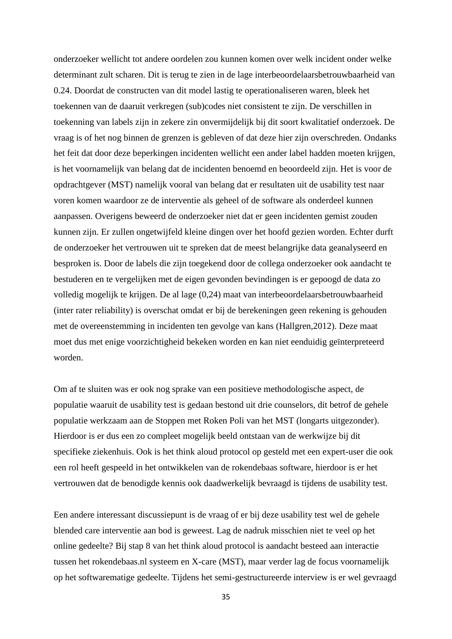onderzoeker wellicht tot andere oordelen zou kunnen komen over welk incident onder welke determinant zult scharen. Dit is terug te zien in de lage interbeoordelaarsbetrouwbaarheid van 0.24. Doordat de constructen van dit model lastig te operationaliseren waren, bleek het toekennen van de daaruit verkregen (sub)codes niet consistent te zijn. De verschillen in toekenning van labels zijn in zekere zin onvermijdelijk bij dit soort kwalitatief onderzoek. De vraag is of het nog binnen de grenzen is gebleven of dat deze hier zijn overschreden. Ondanks het feit dat door deze beperkingen incidenten wellicht een ander label hadden moeten krijgen, is het voornamelijk van belang dat de incidenten benoemd en beoordeeld zijn. Het is voor de opdrachtgever (MST) namelijk vooral van belang dat er resultaten uit de usability test naar voren komen waardoor ze de interventie als geheel of de software als onderdeel kunnen aanpassen. Overigens beweerd de onderzoeker niet dat er geen incidenten gemist zouden kunnen zijn. Er zullen ongetwijfeld kleine dingen over het hoofd gezien worden. Echter durft de onderzoeker het vertrouwen uit te spreken dat de meest belangrijke data geanalyseerd en besproken is. Door de labels die zijn toegekend door de collega onderzoeker ook aandacht te bestuderen en te vergelijken met de eigen gevonden bevindingen is er gepoogd de data zo volledig mogelijk te krijgen. De al lage (0,24) maat van interbeoordelaarsbetrouwbaarheid (inter rater reliability) is overschat omdat er bij de berekeningen geen rekening is gehouden met de overeenstemming in incidenten ten gevolge van kans (Hallgren,2012). Deze maat moet dus met enige voorzichtigheid bekeken worden en kan niet eenduidig geïnterpreteerd worden.

Om af te sluiten was er ook nog sprake van een positieve methodologische aspect, de populatie waaruit de usability test is gedaan bestond uit drie counselors, dit betrof de gehele populatie werkzaam aan de Stoppen met Roken Poli van het MST (longarts uitgezonder). Hierdoor is er dus een zo compleet mogelijk beeld ontstaan van de werkwijze bij dit specifieke ziekenhuis. Ook is het think aloud protocol op gesteld met een expert-user die ook een rol heeft gespeeld in het ontwikkelen van de rokendebaas software, hierdoor is er het vertrouwen dat de benodigde kennis ook daadwerkelijk bevraagd is tijdens de usability test.

Een andere interessant discussiepunt is de vraag of er bij deze usability test wel de gehele blended care interventie aan bod is geweest. Lag de nadruk misschien niet te veel op het online gedeelte? Bij stap 8 van het think aloud protocol is aandacht besteed aan interactie tussen het rokendebaas.nl systeem en X-care (MST), maar verder lag de focus voornamelijk op het softwarematige gedeelte. Tijdens het semi-gestructureerde interview is er wel gevraagd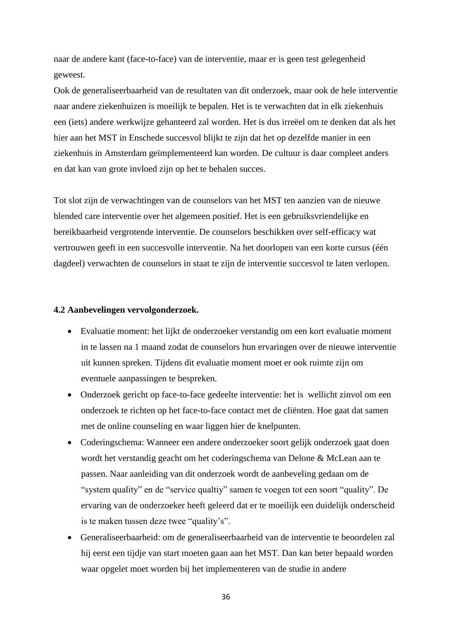naar de andere kant (face-to-face) van de interventie, maar er is geen test gelegenheid geweest.

Ook de generaliseerbaarheid van de resultaten van dit onderzoek, maar ook de hele interventie naar andere ziekenhuizen is moeilijk te bepalen. Het is te verwachten dat in elk ziekenhuis een (iets) andere werkwijze gehanteerd zal worden. Het is dus irreëel om te denken dat als het hier aan het MST in Enschede succesvol blijkt te zijn dat het op dezelfde manier in een ziekenhuis in Amsterdam geïmplementeerd kan worden. De cultuur is daar compleet anders en dat kan van grote invloed zijn op het te behalen succes.

Tot slot zijn de verwachtingen van de counselors van het MST ten aanzien van de nieuwe blended care interventie over het algemeen positief. Het is een gebruiksvriendelijke en bereikbaarheid vergrotende interventie. De counselors beschikken over self-efficacy wat vertrouwen geeft in een succesvolle interventie. Na het doorlopen van een korte cursus (één dagdeel) verwachten de counselors in staat te zijn de interventie succesvol te laten verlopen.

#### <span id="page-35-0"></span>**4.2 Aanbevelingen vervolgonderzoek.**

- Evaluatie moment: het lijkt de onderzoeker verstandig om een kort evaluatie moment in te lassen na 1 maand zodat de counselors hun ervaringen over de nieuwe interventie uit kunnen spreken. Tijdens dit evaluatie moment moet er ook ruimte zijn om eventuele aanpassingen te bespreken.
- Onderzoek gericht op face-to-face gedeelte interventie: het is wellicht zinvol om een onderzoek te richten op het face-to-face contact met de cliënten. Hoe gaat dat samen met de online counseling en waar liggen hier de knelpunten.
- Coderingschema: Wanneer een andere onderzoeker soort gelijk onderzoek gaat doen wordt het verstandig geacht om het coderingschema van Delone & McLean aan te passen. Naar aanleiding van dit onderzoek wordt de aanbeveling gedaan om de "system quality" en de "service qualtiy" samen te voegen tot een soort "quality". De ervaring van de onderzoeker heeft geleerd dat er te moeilijk een duidelijk onderscheid is te maken tussen deze twee "quality's".
- Generaliseerbaarheid: om de generaliseerbaarheid van de interventie te beoordelen zal hij eerst een tijdje van start moeten gaan aan het MST. Dan kan beter bepaald worden waar opgelet moet worden bij het implementeren van de studie in andere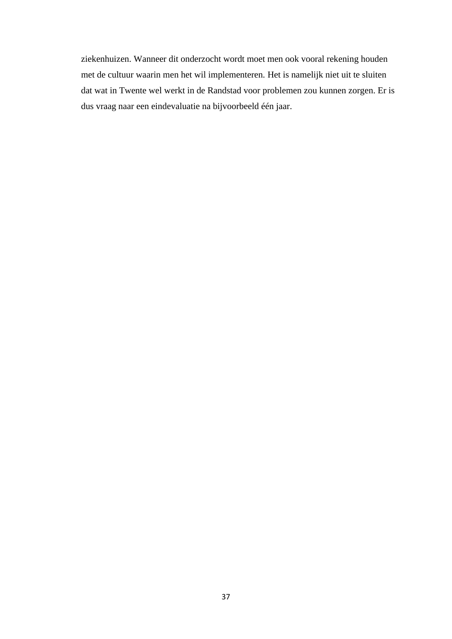ziekenhuizen. Wanneer dit onderzocht wordt moet men ook vooral rekening houden met de cultuur waarin men het wil implementeren. Het is namelijk niet uit te sluiten dat wat in Twente wel werkt in de Randstad voor problemen zou kunnen zorgen. Er is dus vraag naar een eindevaluatie na bijvoorbeeld één jaar.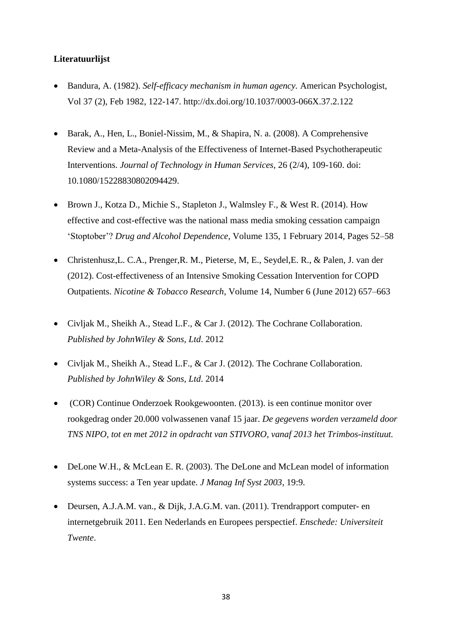## <span id="page-37-0"></span>**Literatuurlijst**

- Bandura, A. (1982). *Self-efficacy mechanism in human agency.* American Psychologist, Vol 37 (2), Feb 1982, 122-147. http://dx.doi.org/10.1037/0003-066X.37.2.122
- Barak, A., Hen, L., Boniel-Nissim, M., & Shapira, N. a. (2008). A Comprehensive Review and a Meta-Analysis of the Effectiveness of Internet-Based Psychotherapeutic Interventions. *Journal of Technology in Human Services*, 26 (2/4), 109-160. doi: 10.1080/15228830802094429.
- Brown J., Kotza D., Michie S., Stapleton J., Walmsley F., & West R. (2014). How effective and cost-effective was the national mass media smoking cessation campaign 'Stoptober'? *Drug and Alcohol Dependence*, Volume 135, 1 February 2014, Pages 52–58
- Christenhusz,L. C.A., Prenger,R. M., Pieterse, M, E., Seydel,E. R., & Palen, J. van der (2012). Cost-effectiveness of an Intensive Smoking Cessation Intervention for COPD Outpatients. *Nicotine & Tobacco Research*, Volume 14, Number 6 (June 2012) 657–663
- Civljak M., Sheikh A., Stead L.F., & Car J. (2012). The Cochrane Collaboration. *Published by JohnWiley & Sons, Ltd*. 2012
- Civljak M., Sheikh A., Stead L.F., & Car J. (2012). The Cochrane Collaboration. *Published by JohnWiley & Sons, Ltd*. 2014
- (COR) Continue Onderzoek Rookgewoonten. (2013). is een continue monitor over rookgedrag onder 20.000 volwassenen vanaf 15 jaar. *De gegevens worden verzameld door TNS NIPO, tot en met 2012 in opdracht van STIVORO, vanaf 2013 het Trimbos-instituut.*
- DeLone W.H., & McLean E. R. (2003). The DeLone and McLean model of information systems success: a Ten year update. *J Manag Inf Syst 2003*, 19:9.
- Deursen, A.J.A.M. van., & Dijk, J.A.G.M. van. (2011). Trendrapport computer- en internetgebruik 2011. Een Nederlands en Europees perspectief. *Enschede: Universiteit Twente*.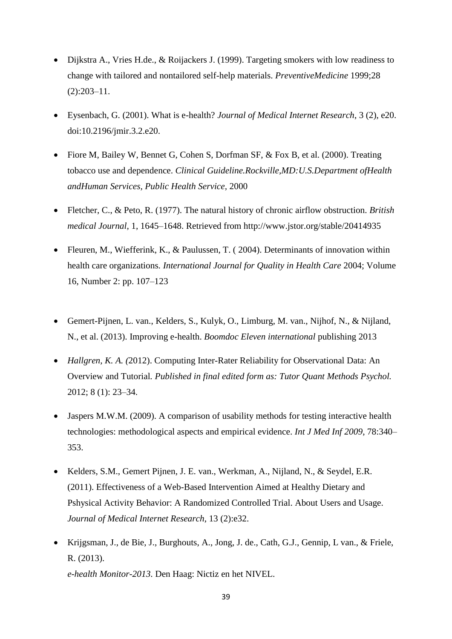- Dijkstra A., Vries H.de., & Roijackers J. (1999). Targeting smokers with low readiness to change with tailored and nontailored self-help materials. *PreventiveMedicine* 1999;28  $(2):203-11.$
- Eysenbach, G. (2001). What is e-health? *Journal of Medical Internet Research*, 3 (2), e20. doi:10.2196/jmir.3.2.e20.
- Fiore M, Bailey W, Bennet G, Cohen S, Dorfman SF, & Fox B, et al. (2000). Treating tobacco use and dependence. *Clinical Guideline.Rockville,MD:U.S.Department ofHealth andHuman Services, Public Health Service,* 2000
- Fletcher, C., & Peto, R. (1977). The natural history of chronic airflow obstruction. *British medical Journal*, 1, 1645–1648. Retrieved from http://www.jstor.org/stable/20414935
- Fleuren, M., Wiefferink, K., & Paulussen, T. ( 2004). Determinants of innovation within health care organizations*. International Journal for Quality in Health Care* 2004; Volume 16, Number 2: pp. 107–123
- Gemert-Pijnen, L. van., Kelders, S., Kulyk, O., Limburg, M. van., Nijhof, N., & Nijland, N., et al. (2013). Improving e-health. *Boomdoc Eleven international* publishing 2013
- *Hallgren, K. A. (*2012). Computing Inter-Rater Reliability for Observational Data: An Overview and Tutorial*. Published in final edited form as: Tutor Quant Methods Psychol.* 2012; 8 (1): 23–34.
- Jaspers M.W.M. (2009). A comparison of usability methods for testing interactive health technologies: methodological aspects and empirical evidence. *Int J Med Inf 2009*, 78:340– 353.
- Kelders, S.M., Gemert Pijnen, J. E. van., Werkman, A., Nijland, N., & Seydel, E.R. (2011). Effectiveness of a Web-Based Intervention Aimed at Healthy Dietary and Pshysical Activity Behavior: A Randomized Controlled Trial. About Users and Usage. *Journal of Medical Internet Research*, 13 (2):e32.
- Krijgsman, J., de Bie, J., Burghouts, A., Jong, J. de., Cath, G.J., Gennip, L van., & Friele, R. (2013). *e-health Monitor-2013*. Den Haag: Nictiz en het NIVEL.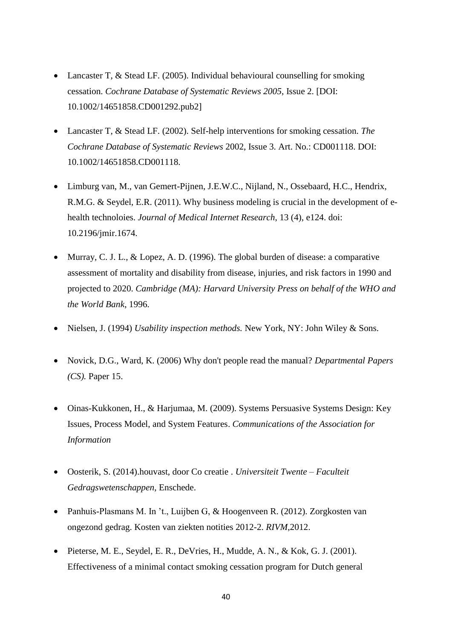- Lancaster T, & Stead LF. (2005). Individual behavioural counselling for smoking cessation. *Cochrane Database of Systematic Reviews 2005*, Issue 2. [DOI: 10.1002/14651858.CD001292.pub2]
- Lancaster T, & Stead LF. (2002). Self-help interventions for smoking cessation. *The Cochrane Database of Systematic Reviews* 2002, Issue 3. Art. No.: CD001118. DOI: 10.1002/14651858.CD001118.
- Limburg van, M., van Gemert-Pijnen, J.E.W.C., Nijland, N., Ossebaard, H.C., Hendrix, R.M.G. & Seydel, E.R. (2011). Why business modeling is crucial in the development of ehealth technoloies. *Journal of Medical Internet Research*, 13 (4), e124. doi: 10.2196/jmir.1674.
- Murray, C. J. L., & Lopez, A. D. (1996). The global burden of disease: a comparative assessment of mortality and disability from disease, injuries, and risk factors in 1990 and projected to 2020. *Cambridge (MA): Harvard University Press on behalf of the WHO and the World Bank*, 1996.
- Nielsen, J. (1994) *Usability inspection methods.* New York, NY: John Wiley & Sons.
- Novick, D.G., Ward, K. (2006) Why don't people read the manual? *Departmental Papers (CS).* Paper 15.
- Oinas-Kukkonen, H., & Harjumaa, M. (2009). Systems Persuasive Systems Design: Key Issues, Process Model, and System Features. *Communications of the Association for Information*
- Oosterik, S. (2014).houvast, door Co creatie . *Universiteit Twente – Faculteit Gedragswetenschappen*, Enschede.
- Panhuis-Plasmans M. In 't., Luijben G, & Hoogenveen R. (2012). Zorgkosten van ongezond gedrag. Kosten van ziekten notities 2012-2. *RIVM*,2012.
- Pieterse, M. E., Seydel, E. R., DeVries, H., Mudde, A. N., & Kok, G. J. (2001). Effectiveness of a minimal contact smoking cessation program for Dutch general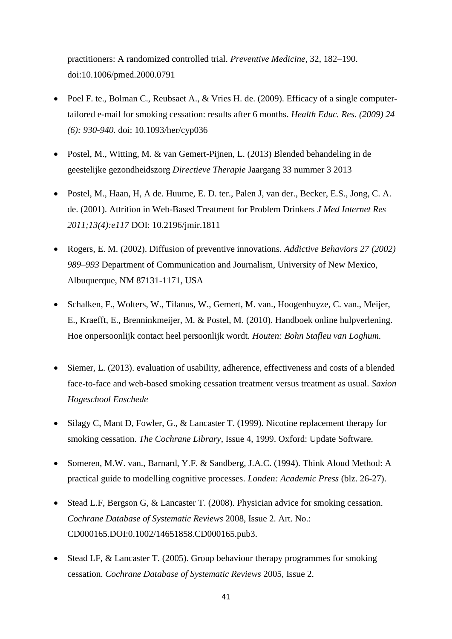practitioners: A randomized controlled trial. *Preventive Medicine*, 32, 182–190. doi:10.1006/pmed.2000.0791

- Poel F. te., Bolman C., Reubsaet A., & Vries H. de. (2009). Efficacy of a single computertailored e-mail for smoking cessation: results after 6 months. *Health Educ. Res. (2009) 24 (6): 930-940.* doi: 10.1093/her/cyp036
- Postel, M., Witting, M. & van Gemert-Pijnen, L. (2013) Blended behandeling in de geestelijke gezondheidszorg *Directieve Therapie* Jaargang 33 nummer 3 2013
- Postel, M., Haan, H, A de. Huurne, E. D. ter., Palen J, van der., Becker, E.S., Jong, C. A. de. (2001). Attrition in Web-Based Treatment for Problem Drinkers *J Med Internet Res 2011;13(4):e117* DOI: 10.2196/jmir.1811
- Rogers, E. M. (2002). Diffusion of preventive innovations. *Addictive Behaviors 27 (2002) 989–993* Department of Communication and Journalism, University of New Mexico, Albuquerque, NM 87131-1171, USA
- Schalken, F., Wolters, W., Tilanus, W., Gemert, M. van., Hoogenhuyze, C. van., Meijer, E., Kraefft, E., Brenninkmeijer, M. & Postel, M. (2010). Handboek online hulpverlening. Hoe onpersoonlijk contact heel persoonlijk wordt*. Houten: Bohn Stafleu van Loghum.*
- Siemer, L. (2013). evaluation of usability, adherence, effectiveness and costs of a blended face-to-face and web-based smoking cessation treatment versus treatment as usual. *Saxion Hogeschool Enschede*
- Silagy C, Mant D, Fowler, G., & Lancaster T. (1999). Nicotine replacement therapy for smoking cessation. *The Cochrane Library*, Issue 4, 1999. Oxford: Update Software.
- Someren, M.W. van., Barnard, Y.F. & Sandberg, J.A.C. (1994). Think Aloud Method: A practical guide to modelling cognitive processes. *Londen: Academic Press* (blz. 26-27).
- Stead L.F, Bergson G, & Lancaster T. (2008). Physician advice for smoking cessation. *Cochrane Database of Systematic Reviews* 2008, Issue 2. Art. No.: CD000165.DOI:0.1002/14651858.CD000165.pub3.
- Stead LF, & Lancaster T. (2005). Group behaviour therapy programmes for smoking cessation. *Cochrane Database of Systematic Reviews* 2005, Issue 2.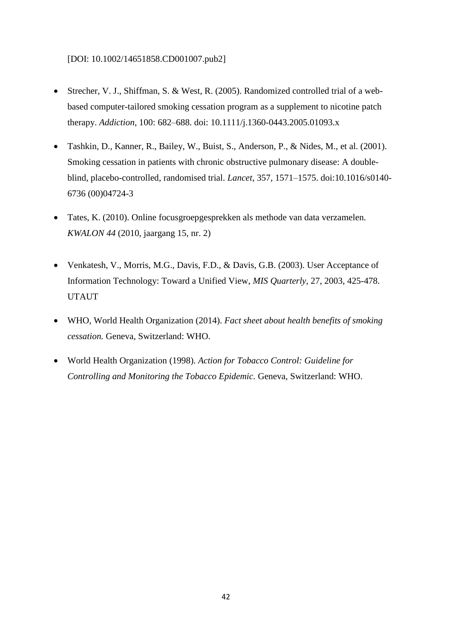#### [DOI: 10.1002/14651858.CD001007.pub2]

- Strecher, V. J., Shiffman, S. & West, R. (2005). Randomized controlled trial of a webbased computer-tailored smoking cessation program as a supplement to nicotine patch therapy. *Addiction*, 100: 682–688. doi: 10.1111/j.1360-0443.2005.01093.x
- Tashkin, D., Kanner, R., Bailey, W., Buist, S., Anderson, P., & Nides, M., et al. (2001). Smoking cessation in patients with chronic obstructive pulmonary disease: A doubleblind, placebo-controlled, randomised trial. *Lancet*, 357, 1571–1575. doi:10.1016/s0140- 6736 (00)04724-3
- Tates, K. (2010). Online focusgroepgesprekken als methode van data verzamelen. *KWALON 44* (2010, jaargang 15, nr. 2)
- Venkatesh, V., Morris, M.G., Davis, F.D., & Davis, G.B. (2003). User Acceptance of Information Technology: Toward a Unified View, *MIS Quarterly*, 27, 2003, 425-478. UTAUT
- WHO, World Health Organization (2014). *Fact sheet about health benefits of smoking cessation.* Geneva, Switzerland: WHO.
- World Health Organization (1998). *Action for Tobacco Control: Guideline for Controlling and Monitoring the Tobacco Epidemic.* Geneva, Switzerland: WHO.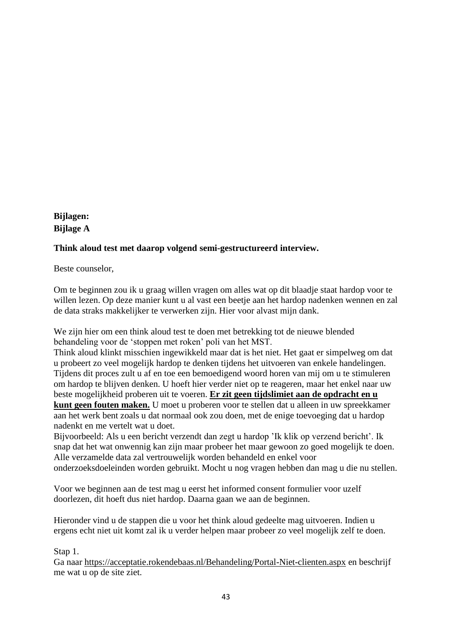# <span id="page-42-0"></span>**Bijlagen: Bijlage A**

# **Think aloud test met daarop volgend semi-gestructureerd interview.**

Beste counselor,

Om te beginnen zou ik u graag willen vragen om alles wat op dit blaadje staat hardop voor te willen lezen. Op deze manier kunt u al vast een beetje aan het hardop nadenken wennen en zal de data straks makkelijker te verwerken zijn. Hier voor alvast mijn dank.

We zijn hier om een think aloud test te doen met betrekking tot de nieuwe blended behandeling voor de 'stoppen met roken' poli van het MST.

Think aloud klinkt misschien ingewikkeld maar dat is het niet. Het gaat er simpelweg om dat u probeert zo veel mogelijk hardop te denken tijdens het uitvoeren van enkele handelingen. Tijdens dit proces zult u af en toe een bemoedigend woord horen van mij om u te stimuleren om hardop te blijven denken. U hoeft hier verder niet op te reageren, maar het enkel naar uw beste mogelijkheid proberen uit te voeren. **Er zit geen tijdslimiet aan de opdracht en u kunt geen fouten maken.** U moet u proberen voor te stellen dat u alleen in uw spreekkamer aan het werk bent zoals u dat normaal ook zou doen, met de enige toevoeging dat u hardop nadenkt en me vertelt wat u doet.

Bijvoorbeeld: Als u een bericht verzendt dan zegt u hardop 'Ik klik op verzend bericht'. Ik snap dat het wat onwennig kan zijn maar probeer het maar gewoon zo goed mogelijk te doen. Alle verzamelde data zal vertrouwelijk worden behandeld en enkel voor onderzoeksdoeleinden worden gebruikt. Mocht u nog vragen hebben dan mag u die nu stellen.

Voor we beginnen aan de test mag u eerst het informed consent formulier voor uzelf doorlezen, dit hoeft dus niet hardop. Daarna gaan we aan de beginnen.

Hieronder vind u de stappen die u voor het think aloud gedeelte mag uitvoeren. Indien u ergens echt niet uit komt zal ik u verder helpen maar probeer zo veel mogelijk zelf te doen.

## Stap 1.

Ga naar<https://acceptatie.rokendebaas.nl/Behandeling/Portal-Niet-clienten.aspx> en beschrijf me wat u op de site ziet.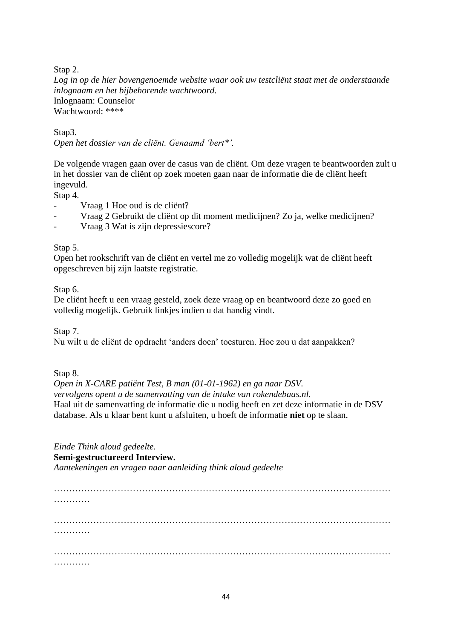Stap 2.

*Log in op de hier bovengenoemde website waar ook uw testcliënt staat met de onderstaande inlognaam en het bijbehorende wachtwoord.* Inlognaam: Counselor Wachtwoord: \*\*\*\*

Stap3. *Open het dossier van de cliënt. Genaamd 'bert\*'.*

De volgende vragen gaan over de casus van de cliënt. Om deze vragen te beantwoorden zult u in het dossier van de cliënt op zoek moeten gaan naar de informatie die de cliënt heeft ingevuld.

Stap 4.

- Vraag 1 Hoe oud is de cliënt?
- Vraag 2 Gebruikt de cliënt op dit moment medicijnen? Zo ja, welke medicijnen?
- Vraag 3 Wat is zijn depressiescore?

### Stap 5.

Open het rookschrift van de cliënt en vertel me zo volledig mogelijk wat de cliënt heeft opgeschreven bij zijn laatste registratie.

Stap 6.

De cliënt heeft u een vraag gesteld, zoek deze vraag op en beantwoord deze zo goed en volledig mogelijk. Gebruik linkjes indien u dat handig vindt.

Stap 7.

Nu wilt u de cliënt de opdracht 'anders doen' toesturen. Hoe zou u dat aanpakken?

Stap 8.

*Open in X-CARE patiënt Test, B man (01-01-1962) en ga naar DSV. vervolgens opent u de samenvatting van de intake van rokendebaas.nl.* Haal uit de samenvatting de informatie die u nodig heeft en zet deze informatie in de DSV database. Als u klaar bent kunt u afsluiten, u hoeft de informatie **niet** op te slaan.

*Einde Think aloud gedeelte.*

#### **Semi-gestructureerd Interview.**

*Aantekeningen en vragen naar aanleiding think aloud gedeelte*

………………………………………………………………………………………………… …………… ………………………………………………………………………………………………… ………………………………………………………………………………………………… …………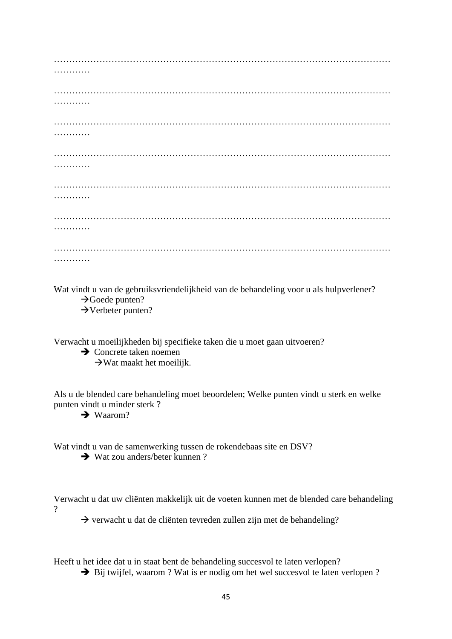| Duct vindt y van de celenvilsevingdelijkheid van de kehendeling veeny ele hylpyevlanev? |
|-----------------------------------------------------------------------------------------|

Wat vindt u van de gebruiksvriendelijkheid van de behandeling voor u als hulpverlener?  $\rightarrow$ Goede punten?  $\rightarrow$ Verbeter punten?

Verwacht u moeilijkheden bij specifieke taken die u moet gaan uitvoeren?

**→** Concrete taken noemen

 $\rightarrow$ Wat maakt het moeilijk.

Als u de blended care behandeling moet beoordelen; Welke punten vindt u sterk en welke punten vindt u minder sterk ?

 $\rightarrow$  Waarom?

Wat vindt u van de samenwerking tussen de rokendebaas site en DSV?

 $\rightarrow$  Wat zou anders/beter kunnen ?

Verwacht u dat uw cliënten makkelijk uit de voeten kunnen met de blended care behandeling  $\gamma$ 

 $\rightarrow$  verwacht u dat de cliënten tevreden zullen zijn met de behandeling?

Heeft u het idee dat u in staat bent de behandeling succesvol te laten verlopen?

 $\rightarrow$  Bij twijfel, waarom ? Wat is er nodig om het wel succesvol te laten verlopen ?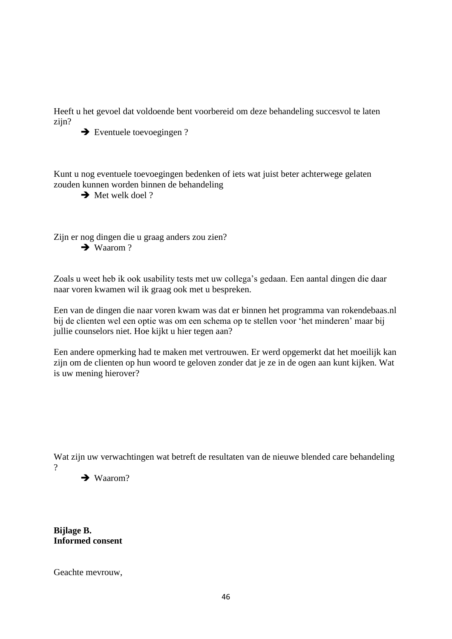Heeft u het gevoel dat voldoende bent voorbereid om deze behandeling succesvol te laten zijn?

 $\rightarrow$  Eventuele toevoegingen ?

Kunt u nog eventuele toevoegingen bedenken of iets wat juist beter achterwege gelaten zouden kunnen worden binnen de behandeling

 $\rightarrow$  Met welk doel ?

Zijn er nog dingen die u graag anders zou zien?  $\rightarrow$  Waarom ?

Zoals u weet heb ik ook usability tests met uw collega's gedaan. Een aantal dingen die daar naar voren kwamen wil ik graag ook met u bespreken.

Een van de dingen die naar voren kwam was dat er binnen het programma van rokendebaas.nl bij de clienten wel een optie was om een schema op te stellen voor 'het minderen' maar bij jullie counselors niet. Hoe kijkt u hier tegen aan?

Een andere opmerking had te maken met vertrouwen. Er werd opgemerkt dat het moeilijk kan zijn om de clienten op hun woord te geloven zonder dat je ze in de ogen aan kunt kijken. Wat is uw mening hierover?

Wat zijn uw verwachtingen wat betreft de resultaten van de nieuwe blended care behandeling



 $\rightarrow$  Waarom?

**Bijlage B. Informed consent** 

Geachte mevrouw,